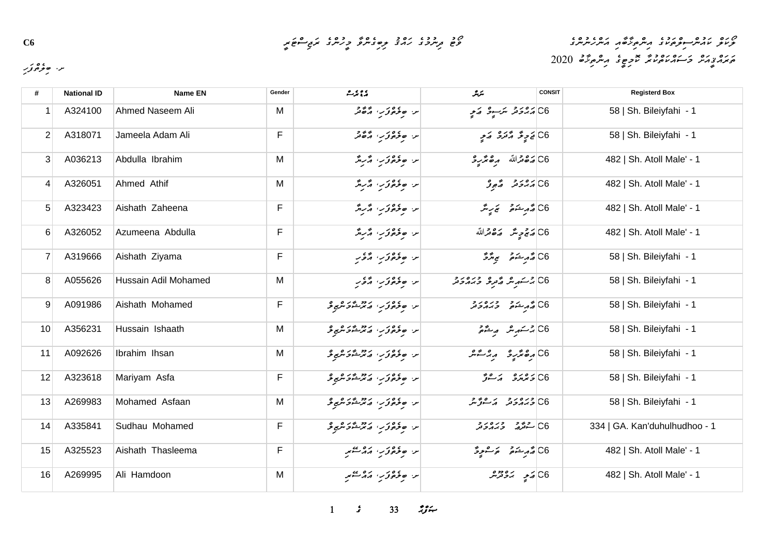*sCw7q7s5w7m< o<n9nOoAw7o< sCq;mAwBoEw7q<m; wBm;vB 2020*<br>*په پوهر وسوډيرونو لومو د موجو د مرمونه* 2020

| #              | <b>National ID</b> | <b>Name EN</b>          | Gender       | <b>ئى ئەس</b>           | سرپر                                      | <b>CONSIT</b> | <b>Registerd Box</b>          |
|----------------|--------------------|-------------------------|--------------|-------------------------|-------------------------------------------|---------------|-------------------------------|
|                | A324100            | <b>Ahmed Naseem Ali</b> | M            | ىن ھۆھۈپ مەھلە          | C6 كەندى تىر سىر كىمى كەردىكە ئىچە ئ      |               | 58   Sh. Bileiyfahi - 1       |
| $\overline{2}$ | A318071            | Jameela Adam Ali        | F            | من ھوجوؤب أم گھور       | C6 فيَ حِرَّقَ مَكْرَدٌ مَنْ مِي          |               | 58   Sh. Bileiyfahi - 1       |
| 3              | A036213            | Abdulla Ibrahim         | M            | ىن ھۆھۈك ئەرىگە         | C6 مَەھىراللە م <i>ەھترى</i> رى           |               | 482   Sh. Atoll Male' - 1     |
| 4              | A326051            | Ahmed Athif             | M            | ىن ھۆھۈك ئەرىگە         | C6 <i>مەشىقىلى</i> ھەمجى                  |               | 482   Sh. Atoll Male' - 1     |
| 5              | A323423            | Aishath Zaheena         | $\mathsf F$  | ىن ھۆھۈك ئەرىگە         | C6 مەم يىسىم ئىن ئىرىش                    |               | 482   Sh. Atoll Male' - 1     |
| 6              | A326052            | Azumeena Abdulla        | $\mathsf{F}$ | ما ھوجوؤب اگر مر        | C6 <i>ھَ جُ جِسَّر مُ</i> قَصَّرِ اللّه   |               | 482   Sh. Atoll Male' - 1     |
|                | A319666            | Aishath Ziyama          | F            | مر ھوتھور ، مجموعہ      | C6 مەم ئىققى ئىم ئىزگىتىكى ئىس            |               | 58   Sh. Bileiyfahi - 1       |
| 8              | A055626            | Hussain Adil Mohamed    | M            | ىن ھۆھۈك مۇم            |                                           |               | 58   Sh. Bileiyfahi - 1       |
| 9              | A091986            | Aishath Mohamed         | $\mathsf F$  | ر مع دوب محمد محمد من د | C6 مەم شەھرە <i>جەم</i> دىر               |               | 58   Sh. Bileiyfahi - 1       |
| 10             | A356231            | Hussain Ishaath         | M            | ىن ھۆھۈك كەيم شەر ھەج   | C6 يُرْسَمُ مِنْ مِنْشُعْرِ               |               | 58   Sh. Bileiyfahi - 1       |
| 11             | A092626            | Ibrahim Ihsan           | M            | ر مع دوب محمد محمد من د | C6 مەھە <i>ئەب</i> ۇ مەشقىر               |               | 58   Sh. Bileiyfahi - 1       |
| 12             | A323618            | Mariyam Asfa            | $\mathsf F$  | ىن ھۆھۈك كەيرىشى ھەم ئى | C6 كەمەر بەر يەر ئەرگەنز                  |               | 58   Sh. Bileiyfahi - 1       |
| 13             | A269983            | Mohamed Asfaan          | M            | ر مؤثور، مردور مردو     | C6 <i>جەندى بىر مەشتۇ</i> تىر             |               | 58   Sh. Bileiyfahi - 1       |
| 14             | A335841            | Sudhau Mohamed          | F            | ىر. ھۆھۈك كەيرىشى ھەر   | C6 كىتى <i>رە دېمبردىن</i>                |               | 334   GA. Kan'duhulhudhoo - 1 |
| 15             | A325523            | Aishath Thasleema       | $\mathsf F$  | ىن ھۆھۈك ئەمەسىمى       | C6 مەمەشىقى مۇس <sup>ى</sup> رى <i>مۇ</i> |               | 482   Sh. Atoll Male' - 1     |
| 16             | A269995            | Ali Hamdoon             | M            | ىن ھۆھۈك ئەرمىسى        | C6 كەبىر بەدەردە                          |               | 482   Sh. Atoll Male' - 1     |

*1 s* 33 *i*<sub>S</sub>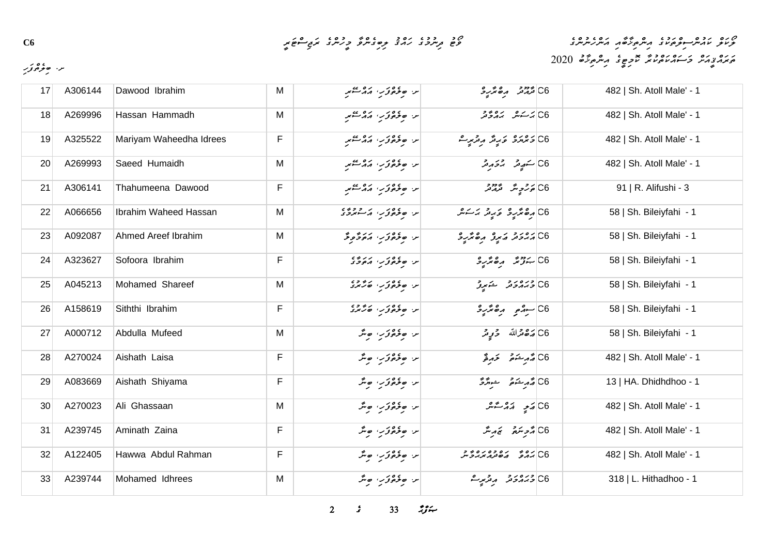*sCw7q7s5w7m< o<n9nOoAw7o< sCq;mAwBoEw7q<m; wBm;vB 2020*<br>*په پوهر وسوډيرونو لومو د موجو د مرمونه* 2020

| 17 | A306144 | Dawood Ibrahim          | M            | ىن ھۆھۈپ، مەمشىر   | C6 مُرْمَّدٌ مِنْ مُرْجِدٌ                     | 482   Sh. Atoll Male' - 1 |
|----|---------|-------------------------|--------------|--------------------|------------------------------------------------|---------------------------|
| 18 | A269996 | Hassan Hammadh          | M            | بر ھۆھۈپ ئەم شىمبە | C6 ئەسەھەر بەيدۇن <sub>ىر</sub>                | 482   Sh. Atoll Male' - 1 |
| 19 | A325522 | Mariyam Waheedha Idrees | $\mathsf F$  | بر ھۆھۈپ ئەھمىتىر  | C6 كەبۇرگۇ ئۇيەنگە مەيگەيدىس <sup>ى</sup>      | 482   Sh. Atoll Male' - 1 |
| 20 | A269993 | Saeed Humaidh           | M            | بر ھۆھۈپ مەمىسى    | C6 س <i>َموِیز برْدَویز</i>                    | 482   Sh. Atoll Male' - 1 |
| 21 | A306141 | Thahumeena Dawood       | $\mathsf F$  | ر موفور به نه شور  | C6 <i>ەزجەنگە قرەتق</i> ر                      | 91   R. Alifushi - 3      |
| 22 | A066656 | Ibrahim Waheed Hassan   | M            | بر ھوجوں پر معدوی  | C6 مەھمەر ئەرىق ئەسەمى                         | 58   Sh. Bileiyfahi - 1   |
| 23 | A092087 | Ahmed Areef Ibrahim     | M            | ر ھۆھۈپ مەقرىمۇ    | C6 <i>גُי</i> יْ جَمَّدَ مَهْرِدْ مِعْمَدِيْرَ | 58   Sh. Bileiyfahi - 1   |
| 24 | A323627 | Sofoora Ibrahim         | $\mathsf F$  | بر ھوگور، موگوی    | C6 سۆزىتە مەھترىيە 3                           | 58   Sh. Bileiyfahi - 1   |
| 25 | A045213 | Mohamed Shareef         | M            | بر ھۆھۈپ ھەمدى     | C6 <i>ۇنەۋەتى خەيرۇ</i>                        | 58   Sh. Bileiyfahi - 1   |
| 26 | A158619 | Siththi Ibrahim         | F            | بر ھۆھۈپ ھرىرى     | C6 سورمو م <i>وھنگرچ</i> و                     | 58   Sh. Bileiyfahi - 1   |
| 27 | A000712 | Abdulla Mufeed          | M            | ین ھۆھۈر، ھېگە     | C6 كەھەراللە   3 <i>ي</i> ومتر                 | 58   Sh. Bileiyfahi - 1   |
| 28 | A270024 | Aishath Laisa           | $\mathsf{F}$ | ین ھۆھۈر، ھېگە     | C6 مُدِيسَة وَرِثَرَ                           | 482   Sh. Atoll Male' - 1 |
| 29 | A083669 | Aishath Shiyama         | $\mathsf{F}$ | ین ھۆھۈر، ھېگە     | C6 مُرمِسْمَعُ سُمِعُرَّدً                     | 13   HA. Dhidhdhoo - 1    |
| 30 | A270023 | Ali Ghassaan            | M            | ین ھۆھۈر، ھېگە     | C6ع <i>مَرْحِي مَنْ مُ</i> شَمَّسْ             | 482   Sh. Atoll Male' - 1 |
| 31 | A239745 | Aminath Zaina           | $\mathsf F$  | این ھۆھۈر، ھېگە    | C6 مُرْحِبَتَهُمْ تَجْمِيتُر                   | 482   Sh. Atoll Male' - 1 |
| 32 | A122405 | Hawwa Abdul Rahman      | F            | اير: ھۆھۈر، ھېڭر   | C6 <i>بروی مقدم بروی د</i>                     | 482   Sh. Atoll Male' - 1 |
| 33 | A239744 | Mohamed Idhrees         | M            | ىن ھۆھۈر، ھىگە     | C6  <i>32,322 م</i> وترموت                     | 318   L. Hithadhoo - 1    |

**2** *s* **33** *z***<sub>***3***</sub>** *z***<sub>***3***</sub>**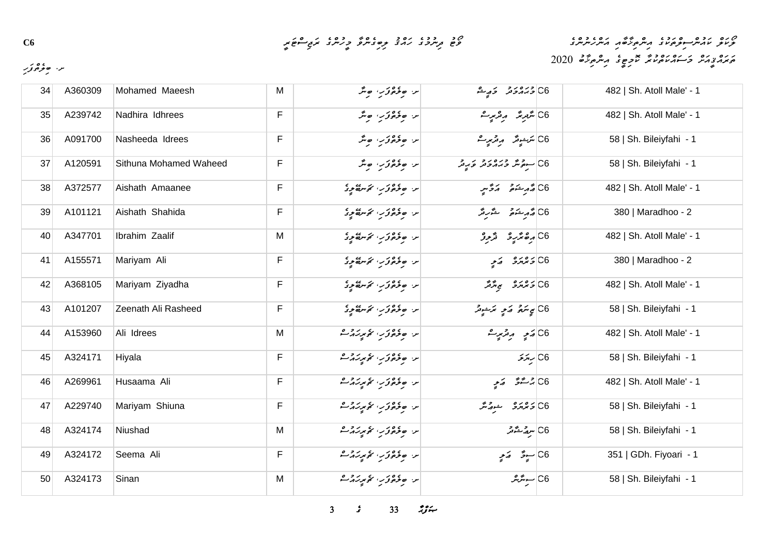*sCw7q7s5w7m< o<n9nOoAw7o< sCq;mAwBoEw7q<m; wBm;vB 2020*<br>*په پوهر وسوډيرونو لومو د موجو د مرمونه* 2020

| 34 | A360309 | Mohamed Maeesh         | M            | ىن ھۆھۈر، ھېڭە       | C6  <i>32,25 \$مو</i> يقة                               | 482   Sh. Atoll Male' - 1 |
|----|---------|------------------------|--------------|----------------------|---------------------------------------------------------|---------------------------|
| 35 | A239742 | Nadhira Idhrees        | $\mathsf{F}$ | مر ھۆھ دىر، ھىگر     | C6 سَّرْمِيرَ مِنْ مِرْمِي <sup>ْ</sup>                 | 482   Sh. Atoll Male' - 1 |
| 36 | A091700 | Nasheeda Idrees        | $\mathsf{F}$ | مر ھۆھۈر، ھىگە       | C6 مَرَسْدِمَّر   برقر برِسْد                           | 58   Sh. Bileiyfahi - 1   |
| 37 | A120591 | Sithuna Mohamed Waheed | $\mathsf F$  | من ھۆھۈك ھىتر        | 06 – مۇنىگە جەم <i>ھەدىر</i> ھەمدىكە                    | 58   Sh. Bileiyfahi - 1   |
| 38 | A372577 | Aishath Amaanee        | $\mathsf F$  | ر موثور، كاستور      | C6 مەم شەق مەگەس                                        | 482   Sh. Atoll Male' - 1 |
| 39 | A101121 | Aishath Shahida        | $\mathsf F$  | ر موجود، كارتقوى     | C6 مَ <i>ذِيشَة شَرْبَتْر</i>                           | 380   Maradhoo - 2        |
| 40 | A347701 | Ibrahim Zaalif         | M            | ىن ھۆھۈك ئۇسھىرى     | C6 مەھەمگەيدى - م <i>ۇرو</i> ر                          | 482   Sh. Atoll Male' - 1 |
| 41 | A155571 | Mariyam Ali            | $\mathsf F$  | س ھۆھۈپ كۆسھىرى      | C6 <i>خ</i> ير پرو گرمبر                                | 380   Maradhoo - 2        |
| 42 | A368105 | Mariyam Ziyadha        | $\mathsf F$  | ر موجود، كاره م      | C6 <i>كەنگەردە</i> ب <sub>ې</sub> رگەنگر                | 482   Sh. Atoll Male' - 1 |
| 43 | A101207 | Zeenath Ali Rasheed    | $\mathsf F$  | ر موجود، كاره م      | C6 <sub>م</sub> ج <i>سَمَۃُ    مَدمٍ    مَرَ</i> شوِتْر | 58   Sh. Bileiyfahi - 1   |
| 44 | A153960 | Ali Idrees             | M            | ىن ھۆھۈك ئۇمېرىكەك   | C6 ڪيو پيرمير شو                                        | 482   Sh. Atoll Male' - 1 |
| 45 | A324171 | Hiyala                 | $\mathsf F$  | ىر. ھۆھۈك ئۇيرىدەك   | C6 بەتزىخە                                              | 58   Sh. Bileiyfahi - 1   |
| 46 | A269961 | Husaama Ali            | $\mathsf F$  | ىن ھۆھۈك ئۇمېرىكەت   | C6 يُمسَّمَّ مَو                                        | 482   Sh. Atoll Male' - 1 |
| 47 | A229740 | Mariyam Shiuna         | F            | ىن ھۆھۈك ئۇمېرىدەك   | C6 <i>خ</i> ىرى <i>زى ھەمگەنگ</i> ە                     | 58   Sh. Bileiyfahi - 1   |
| 48 | A324174 | Niushad                | M            | ىن ھۆھۈك ئەمدىر مەت  | C6 س <sub>ر</sub> چرىشىتىر                              | 58   Sh. Bileiyfahi - 1   |
| 49 | A324172 | Seema Ali              | $\mathsf F$  | المن ھۆھۈك كامرىكە ئ | C6 سوءً <i>مق</i> ع                                     | 351   GDh. Fiyoari - 1    |
| 50 | A324173 | Sinan                  | M            | ىن ھۆھۈك ئۇمېرىكەك   | C6 سەيگەنگە                                             | 58   Sh. Bileiyfahi - 1   |

**3** *3**3**3* $294$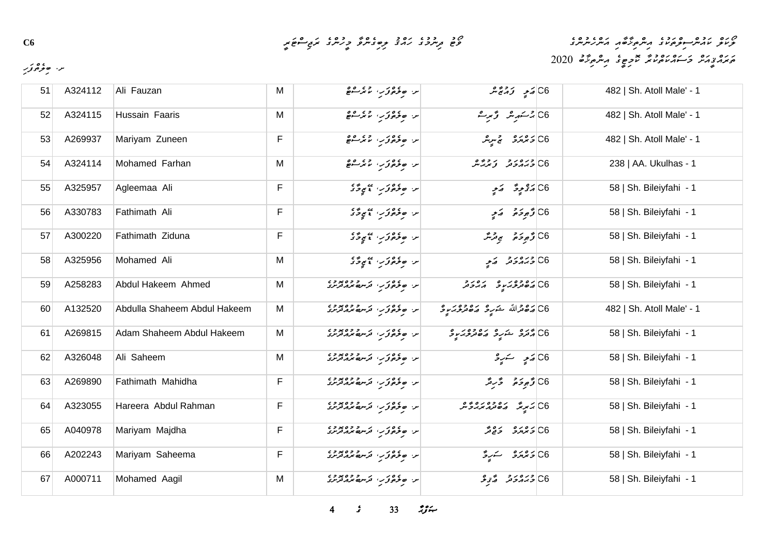*sCw7q7s5w7m< o<n9nOoAw7o< sCq;mAwBoEw7q<m; wBm;vB* م من المرة المرة المرة المرجع المرجع في المركبة 2020<br>مجم*د المريض المربوط المربع المرجع في المراجع المركبة* 

| 51 | A324112 | Ali Fauzan                   | M           | ىر. ھۆھۈك ئىگرىش                                          | C6 <i>مَرْمٍ وَمُ</i> تَمَّتَر                                       | 482   Sh. Atoll Male' - 1 |
|----|---------|------------------------------|-------------|-----------------------------------------------------------|----------------------------------------------------------------------|---------------------------|
| 52 | A324115 | Hussain Faaris               | M           | ر ھوھۇپ ئىرگى                                             | C6 يُرتسمبر مثر بوَّسِر مُشَرِّسُة ا                                 | 482   Sh. Atoll Male' - 1 |
| 53 | A269937 | Mariyam Zuneen               | F           | ر ەرەر، رومى                                              | C6 كەممە <i>ھى ئى</i> ئىرىس                                          | 482   Sh. Atoll Male' - 1 |
| 54 | A324114 | Mohamed Farhan               | M           | ر ەمدەر، دېم مەھ                                          | C6 <i>ۋېرمونتى ۋېرىگى</i> ر                                          | 238   AA. Ukulhas - 1     |
| 55 | A325957 | Agleemaa Ali                 | F           | $\sim$ وگوگر، ۽ پاڻو                                      | C6 ك <sup>و</sup> گوچۇ كەمچ                                          | 58   Sh. Bileiyfahi - 1   |
| 56 | A330783 | Fathimath Ali                | $\mathsf F$ | ر ھۆھۈپ ، ئېچ ۋې                                          | C6 وَجِعَةٍ صَعِ                                                     | 58   Sh. Bileiyfahi - 1   |
| 57 | A300220 | Fathimath Ziduna             | $\mathsf F$ | ر ھۆھۇپ ، ئېچ ۋى                                          | C6 <i>وَّجوحَمْ</i> ب <sub>ُح</sub> ِمْتُر                           | 58   Sh. Bileiyfahi - 1   |
| 58 | A325956 | Mohamed Ali                  | M           | ر ھۆھۈپ ئىپرۇي                                            | C6 <i>جەنگە جۇ ھ</i> ېر                                              | 58   Sh. Bileiyfahi - 1   |
| 59 | A258283 | Abdul Hakeem Ahmed           | M           | بر موثوقر، ترسط مدد ده                                    | C6 مەھىرى <i>گەنى</i> مەمەدىر                                        | 58   Sh. Bileiyfahi - 1   |
| 60 | A132520 | Abdulla Shaheem Abdul Hakeem | M           | ا در هنگوری در دوره بردارد.<br>این هنگوری در سره برداردرد | C6 رَصْحْرَاللّه خَرَبِ وَصَعْرَ مَرْدِ وَمِ                         | 482   Sh. Atoll Male' - 1 |
| 61 | A269815 | Adam Shaheem Abdul Hakeem    | M           |                                                           | C6 مُتَرَدُّ شَرِيرُ مَصْرُوْبَرِيرَ                                 | 58   Sh. Bileiyfahi - 1   |
| 62 | A326048 | Ali Saheem                   | M           | ر موجود به ترسط مدوره                                     | $\mathcal{S}_{\mathbf{y}} = \mathcal{S}$ $\mathcal{S} = \mathcal{S}$ | 58   Sh. Bileiyfahi - 1   |
| 63 | A269890 | Fathimath Mahidha            | $\mathsf F$ | ر موقوف ترسيم مدوره                                       | C6 <i>وَّجِوَدَة</i> ُ وَّرِسَّ                                      | 58   Sh. Bileiyfahi - 1   |
| 64 | A323055 | Hareera Abdul Rahman         | F           | بر موجود ر دوه بدوه                                       | C6 ئەمەيم مەھىرمەمەدە بو                                             | 58   Sh. Bileiyfahi - 1   |
| 65 | A040978 | Mariyam Majdha               | $\mathsf F$ | ر موقوف ترسية مدور                                        | C6 كەبىر ئىرە ئەرە ئىقتىكە                                           | 58   Sh. Bileiyfahi - 1   |
| 66 | A202243 | Mariyam Saheema              | F           | ر موجود به ترسط مهدم دره                                  | C6 <i>وَ بَدْيَرْ وَ</i> سَمَرِيَّ                                   | 58   Sh. Bileiyfahi - 1   |
| 67 | A000711 | Mohamed Aagil                | M           | ر موجود به ترسط مدوره                                     | C6  <i>3223, \$ي</i> و                                               | 58   Sh. Bileiyfahi - 1   |

*4 s* 33 *i*<sub>S</sub> $\rightarrow$ </sub>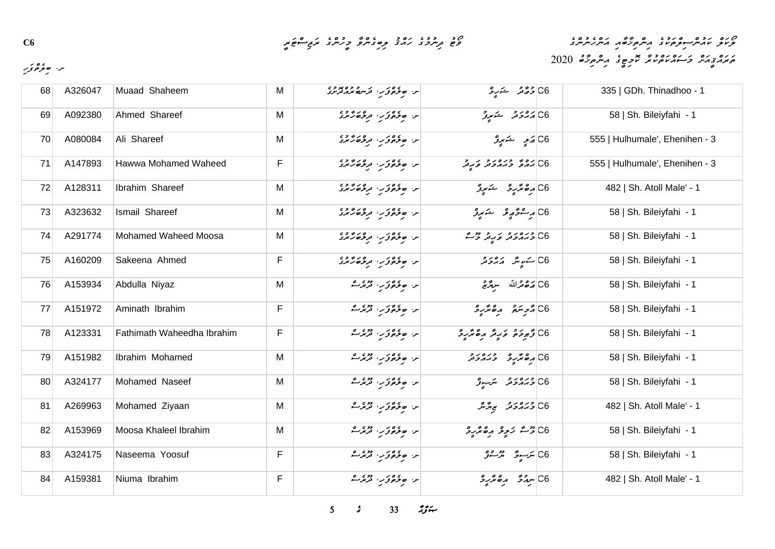*sCw7q7s5w7m< o<n9nOoAw7o< sCq;mAwBoEw7q<m; wBm;vB 2020*<br>*په پوهر وسوډيرونو لومو د موجو د مرمونه* 2020

| 68 | A326047 | Muaad Shaheem              | M            | ىن ھۆھۈك ئەس 2022 دە          | C6 جۇيۇ ش <i>ەر</i> ۇ                                                                                    | 335   GDh. Thinadhoo - 1       |
|----|---------|----------------------------|--------------|-------------------------------|----------------------------------------------------------------------------------------------------------|--------------------------------|
| 69 | A092380 | Ahmed Shareef              | M            | ر ەۋەر، بروەزىرى              | C6 <i>مَدْدَوَنْل حَمَيْنُ</i>                                                                           | 58   Sh. Bileiyfahi - 1        |
| 70 | A080084 | Ali Shareef                | M            | ر ەمدەرى مركزەر دە            | C6 كەمى ھەمب <i>و</i> گە                                                                                 | 555   Hulhumale', Ehenihen - 3 |
| 71 | A147893 | Hawwa Mohamed Waheed       | F            | ىن ھۆھۈك بېر ھەر دە           | C6 <i>ג'ה כי היכת פֿ</i> יבַת                                                                            | 555   Hulhumale', Ehenihen - 3 |
| 72 | A128311 | Ibrahim Shareef            | M            | ر ەمدەرى مركزەر دە            | C6 مەھەر ئەر ئىكتىر ئى                                                                                   | 482   Sh. Atoll Male' - 1      |
| 73 | A323632 | Ismail Shareef             | M            | ر ەۋەر، بروەزىرى              | C6 م <sup>ر</sup> مۇم <sub>ۇ</sub> بۇ شىرىۋ                                                              | 58   Sh. Bileiyfahi - 1        |
| 74 | A291774 | Mohamed Waheed Moosa       | M            | ر ەۋەر، بروەزىرى              | C6 دُيرودو <sub>قريب</sub> ر وَ "                                                                        | 58   Sh. Bileiyfahi - 1        |
| 75 | A160209 | Sakeena Ahmed              | F            | ىر. ھۆھۈپ، تېرى <i>ۋەرىرى</i> | C6 سەمدىقى ئەجرىمىتىر                                                                                    | 58   Sh. Bileiyfahi - 1        |
| 76 | A153934 | Abdulla Niyaz              | M            | ىر ھۆھۈپ قرىر ھ               |                                                                                                          | 58   Sh. Bileiyfahi - 1        |
| 77 | A151972 | Aminath Ibrahim            | $\mathsf F$  | ىر. ھۆھۈر، قرىزىق             | C6 أَمُّحِ سَمَّةٍ مَصَمَّدٍ فَ                                                                          | 58   Sh. Bileiyfahi - 1        |
| 78 | A123331 | Fathimath Waheedha Ibrahim | $\mathsf F$  | ىر. ھۆھۈك بۇيرىش              | 06 <i>وُجوحَمْ وَبِيدٌ م</i> ِ <i>مُدْبِرُوْ</i>                                                         | 58   Sh. Bileiyfahi - 1        |
| 79 | A151982 | Ibrahim Mohamed            | M            | ىر. ھۆھۈر، قرىزىق             | C6 رەئزىرو دىرەرد                                                                                        | 58   Sh. Bileiyfahi - 1        |
| 80 | A324177 | Mohamed Naseef             | M            | ىر ھۆھۈپ قرىر ھ               | C6 <i>\$222 سَبِيوڤ</i>                                                                                  | 58   Sh. Bileiyfahi - 1        |
| 81 | A269963 | Mohamed Ziyaan             | M            | ىر. ھۆھۈر، قرىزىق             | C6 <i>ڈیزوڈو پر پی</i>                                                                                   | 482   Sh. Atoll Male' - 1      |
| 82 | A153969 | Moosa Khaleel Ibrahim      | M            | ىر. ھۆھۈر، قرىرگ              | 06 ج شه ترو پوله پر پرو                                                                                  | 58   Sh. Bileiyfahi - 1        |
| 83 | A324175 | Naseema Yoosuf             | $\mathsf{F}$ | ىر. ھۆھۈر، قرىزىق             | C6 مَرَسِوڤ \$رَسْتَرُوُ                                                                                 | 58   Sh. Bileiyfahi - 1        |
| 84 | A159381 | Niuma Ibrahim              | F            | ابر ھۆھۈپ قرمرے               | C6 سرقر مرگز میں ایک مقدر کے مقدر کے مقدر کے مقدر کے مقدر کے مقدر کے مقدر کے مقدر کے مقدر کے مقدر کے مقد | 482   Sh. Atoll Male' - 1      |

 $5$   $5$   $33$   $79$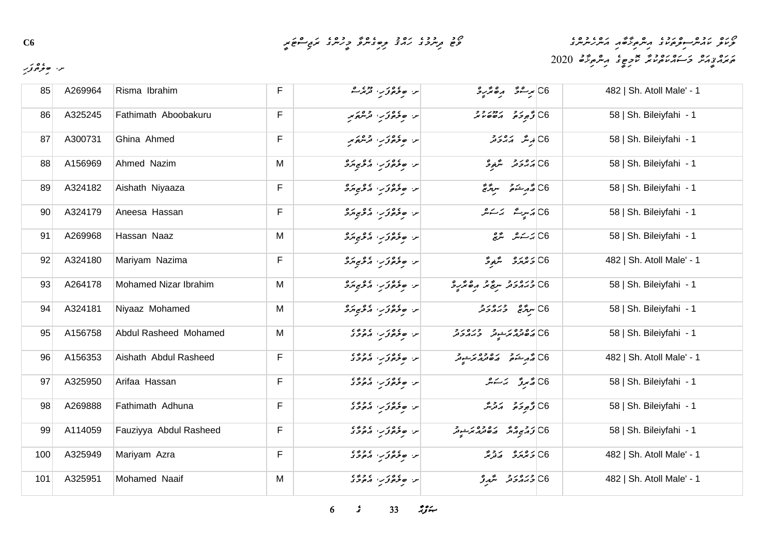*sCw7q7s5w7m< o<n9nOoAw7o< sCq;mAwBoEw7q<m; wBm;vB* م من المرة المرة المرة المرجع المرجع في المركبة 2020<br>مجم*د المريض المربوط المربع المرجع في المراجع المركبة* 

| 85  | A269964 | Risma Ibrahim          | F           | ىر ھۆھۈر، قرىزىق                    | C6  يرىــْدَة   يەھ ئ <sup>ۆرى</sup> دۇ  | 482   Sh. Atoll Male' - 1 |
|-----|---------|------------------------|-------------|-------------------------------------|------------------------------------------|---------------------------|
| 86  | A325245 | Fathimath Aboobakuru   | F           | اللا ھۆھۈك ئۇسھەس                   | $22222$ $25.20$                          | 58   Sh. Bileiyfahi - 1   |
| 87  | A300731 | Ghina Ahmed            | F           | ىر. ھۆھۈكە، مەسھەسم                 | C6 نږینګه <i>ټرېنځو</i> تر               | 58   Sh. Bileiyfahi - 1   |
| 88  | A156969 | Ahmed Nazim            | M           | ر ە دەرب كەمەرد                     | C6 <i>مُدْدَنْد</i> مُّهْدِدُ            | 58   Sh. Bileiyfahi - 1   |
| 89  | A324182 | Aishath Niyaaza        | $\mathsf F$ | ر ە ئەرىب كەمەر                     | C6 مەم ئىستىم ئىس <i>تىرىتى</i>          | 58   Sh. Bileiyfahi - 1   |
| 90  | A324179 | Aneesa Hassan          | $\mathsf F$ | ر ە دەرب كەمەر                      | C6 كەسپەسقە كەسكەنلەر                    | 58   Sh. Bileiyfahi - 1   |
| 91  | A269968 | Hassan Naaz            | M           | ر ەۋەۋر، كەم ئەر                    | C6 ئەسەھر شى <i>چ</i>                    | 58   Sh. Bileiyfahi - 1   |
| 92  | A324180 | Mariyam Nazima         | F           | ر ە دەرب كەلىمە                     | C6 <i>كەنگەڭ شۇ</i> گ                    | 482   Sh. Atoll Male' - 1 |
| 93  | A264178 | Mohamed Nizar Ibrahim  | M           | من ھِ تَحَوْرَ بِ الْمَرْجِ الْرَحْ | C6 ديرو دي سرگانگر مره تربرد             | 58   Sh. Bileiyfahi - 1   |
| 94  | A324181 | Niyaaz Mohamed         | M           | ر ەۋەۋر، كەمەم                      | C6 سِرْمَع دِيَرْمُدَوْمَر               | 58   Sh. Bileiyfahi - 1   |
| 95  | A156758 | Abdul Rasheed Mohamed  | M           | بر ھۆھۈپ كەدە ،                     | C6 مەھەرمە ئىسىم ئەرەر ئىسىمبىرى بىر     | 58   Sh. Bileiyfahi - 1   |
| 96  | A156353 | Aishath Abdul Rasheed  | $\mathsf F$ | ر ھۆھۈپ كەدە                        | C6 مەم شەھ مەھەرمەشىرىتى                 | 482   Sh. Atoll Male' - 1 |
| 97  | A325950 | Arifaa Hassan          | $\mathsf F$ | ر ھۆھۈپ كەدە ئ                      | C6 مەسىرى ئەسەئىر                        | 58   Sh. Bileiyfahi - 1   |
| 98  | A269888 | Fathimath Adhuna       | F           | ر ھۆھۈپ مەدە                        | C6 <i>وَّجِوحَةْ مَقْرَمَّدُ</i>         | 58   Sh. Bileiyfahi - 1   |
| 99  | A114059 | Fauziyya Abdul Rasheed | $\mathsf F$ | بر ھۆھۈپ ، دەر                      | $C6$ $c^2$ $c^2$ $c^2$ $c^2$ $c^2$ $c^2$ | 58   Sh. Bileiyfahi - 1   |
| 100 | A325949 | Mariyam Azra           | F           | بر ھوگھور ، دور                     | C6 كەممىز <i>كىرىمى</i> ئىس              | 482   Sh. Atoll Male' - 1 |
| 101 | A325951 | Mohamed Naaif          | M           | بن ھۆھۈپ كەمدى                      | C6 <i>جەنگە جۇ مەتكە</i> ر               | 482   Sh. Atoll Male' - 1 |

 $6$   $3$   $3$   $3$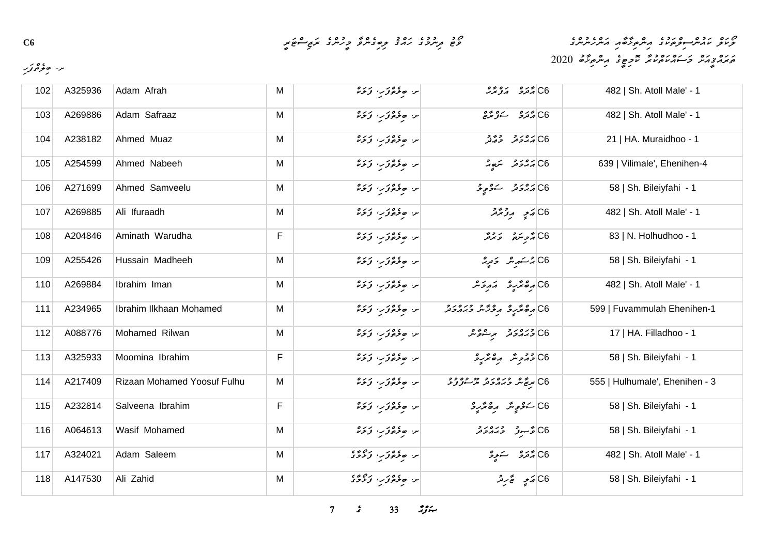*sCw7q7s5w7m< o<n9nOoAw7o< sCq;mAwBoEw7q<m; wBm;vB 2020*<br>*په پوهر وسوډيرونو لومو د موجو د مرمونه* 2020

| 102 | A325936 | Adam Afrah                  | M           | ىن ھۆھۋىر، ئەنزە   | C6 مُقرَّح مَوْتَمَّةً              | 482   Sh. Atoll Male' - 1      |
|-----|---------|-----------------------------|-------------|--------------------|-------------------------------------|--------------------------------|
| 103 | A269886 | Adam Safraaz                | M           | ىن ھۆھۈپ ۋىچە      | C6 گەنىزىق سىزىتى <i>تى</i>         | 482   Sh. Atoll Male' - 1      |
| 104 | A238182 | Ahmed Muaz                  | M           | ر ھۆھۈپ ئەبەر      | C6 كەبرى قىر ئەرگەنگە               | 21   HA. Muraidhoo - 1         |
| 105 | A254599 | Ahmed Nabeeh                | M           | ىن ھۆھۈپ ئەترە     | C6 <i>مُدْدَوْرْ</i> سَھِيْ         | 639   Vilimale', Ehenihen-4    |
| 106 | A271699 | Ahmed Samveelu              | M           | بر ھۆھۈپ ۆىزە      | C6  كەبرى كىمى ئىككى ئىچى ئوقىي ئى  | 58   Sh. Bileiyfahi - 1        |
| 107 | A269885 | Ali Ifuraadh                | M           | ر ھۆھۈپ زىرە       | C6 <i>مَج مِوتَمَّة</i>             | 482   Sh. Atoll Male' - 1      |
| 108 | A204846 | Aminath Warudha             | F           | ر ھۆھۈپ ۆىدە       | C6 مُرْحِ مَتَمَّد وَ تَدَمَّدَ     | 83   N. Holhudhoo - 1          |
| 109 | A255426 | Hussain Madheeh             | M           | بر ھۆھۈپ ۆتۈم      | C6 يُرْسَمب <sup>و</sup> وَمَدِيْرَ | 58   Sh. Bileiyfahi - 1        |
| 110 | A269884 | Ibrahim Iman                | M           | من ھۆھۈكەپ كەنتىقا | C6 مەھمىر ئەرەكىرى ئىل              | 482   Sh. Atoll Male' - 1      |
| 111 | A234965 | Ibrahim Ilkhaan Mohamed     | M           | من ھۆھۈكەپ كەنتىنا | C6 رەئزىرى مەم ئەرەر د              | 599   Fuvammulah Ehenihen-1    |
| 112 | A088776 | Mohamed Rilwan              | M           | بر ھۆھۈپ ۆىزە      | C6 <i>ۋىرەر دىر بېرىشۇنىر</i>       | 17   HA. Filladhoo - 1         |
| 113 | A325933 | Moomina Ibrahim             | $\mathsf F$ | بر ھۆھۈپ ۆتۈم      |                                     | 58   Sh. Bileiyfahi - 1        |
| 114 | A217409 | Rizaan Mohamed Yoosuf Fulhu | M           | من ھۆھۈكەپ كەنتىقا | 06 برېځ نګر و ډول پر ده وه وو       | 555   Hulhumale', Ehenihen - 3 |
| 115 | A232814 | Salveena Ibrahim            | $\mathsf F$ | بر ھۆھۈپ ۆتۈم      | C6 س <i>نۇمەنگە مەھەتگەي</i> ۇ      | 58   Sh. Bileiyfahi - 1        |
| 116 | A064613 | Wasif Mohamed               | M           | ر ھۆھۈپ زىرە       | C6 ۇسوز ئ <i>ىمكە</i> ئىر           | 58   Sh. Bileiyfahi - 1        |
| 117 | A324021 | Adam Saleem                 | M           | بر ھۆھۈپ ۋىدە      | C6 مَرْمَرْدْ سَمِرِدْ              | 482   Sh. Atoll Male' - 1      |
| 118 | A147530 | Ali Zahid                   | M           | ر ەۋەۋپ ۋىدە       | C6 ڪيو گ <sub>ي م</sub> قر          | 58   Sh. Bileiyfahi - 1        |

*7 s* 33 *i*<sub>S</sub>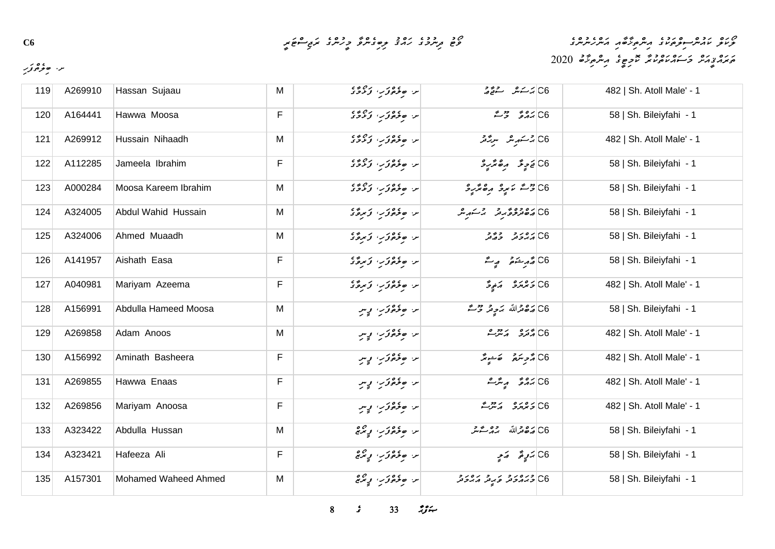*sCw7q7s5w7m< o<n9nOoAw7o< sCq;mAwBoEw7q<m; wBm;vB 2020*<br>*په پوهر وسوډيرونو لومو د موجو د مرمونه* 2020

| 119 | A269910 | Hassan Sujaau        | M            | س ھۆھۈرى ئەم دە               | C6 ئەسەمبەر مەمۇر                                   | 482   Sh. Atoll Male' - 1 |
|-----|---------|----------------------|--------------|-------------------------------|-----------------------------------------------------|---------------------------|
| 120 | A164441 | Hawwa Moosa          | F            | ر ھۆھۈپ ۋىدە                  | $23$ $32$ C6                                        | 58   Sh. Bileiyfahi - 1   |
| 121 | A269912 | Hussain Nihaadh      | M            | بر ھۆھۈپ ۋىدە                 | C6 بڑے پر شہر سریٹر شر                              | 482   Sh. Atoll Male' - 1 |
| 122 | A112285 | Jameela Ibrahim      | $\mathsf F$  | بر ھۆھۈپ ۋىدۇ،                | C6 ق <sub>َ</sub> حِرِ حَدَّ مِنْ مِنْ مِرْدِ حَدَّ | 58   Sh. Bileiyfahi - 1   |
| 123 | A000284 | Moosa Kareem Ibrahim | M            | بر ھۆھۈپ ۋىدە                 | 06 جي شهر مورد مرڪز مرکز کي پيدا<br>مسلم            | 58   Sh. Bileiyfahi - 1   |
| 124 | A324005 | Abdul Wahid Hussain  | M            | من ھۆھۈكەپ كەمبەرگەنى         | C6 مەھىر ئۇقۇمبور مىزىكىرىش                         | 58   Sh. Bileiyfahi - 1   |
| 125 | A324006 | Ahmed Muaadh         | M            | من ھِ تَحودُ مِن تَوَمُورٌ تَ | C6 كەبرى قىر ئەرگە ئىر                              | 58   Sh. Bileiyfahi - 1   |
| 126 | A141957 | Aishath Easa         | F            | ىن ھۆھۈپ ۋىرەڭ                | C6 مەم شىم مەت                                      | 58   Sh. Bileiyfahi - 1   |
| 127 | A040981 | Mariyam Azeema       | $\mathsf{F}$ | ىن ھۆھۈپ ۋىرەڭ                | C6 كەممىز <i>كى م</i> كەنبى                         | 482   Sh. Atoll Male' - 1 |
| 128 | A156991 | Abdulla Hameed Moosa | M            | ین ھۆھۈكە، پەس                | C6 كەھەرللە ئەمرىتر ق <sup>ىم</sup>                 | 58   Sh. Bileiyfahi - 1   |
| 129 | A269858 | Adam Anoos           | M            | ىر. ھۆھۈكە، يېس               | C6 كەنى <i>رى كەنترى</i> شە                         | 482   Sh. Atoll Male' - 1 |
| 130 | A156992 | Aminath Basheera     | F            | ىن ھۆھۇپ، يەس                 |                                                     | 482   Sh. Atoll Male' - 1 |
| 131 | A269855 | Hawwa Enaas          | F            | ىن ھۆھۈك بېس                  | C6 ئەمگە ئەسىر يەسىر                                | 482   Sh. Atoll Male' - 1 |
| 132 | A269856 | Mariyam Anoosa       | F            | س ھۆھۈكە، يەس                 | C6 كەندىرى كەنترىشە                                 | 482   Sh. Atoll Male' - 1 |
| 133 | A323422 | Abdulla Hussan       | M            | ىر. ھۆھۈك بەتكى               | C6 مَەھتراللە جەمئەت                                | 58   Sh. Bileiyfahi - 1   |
| 134 | A323421 | Hafeeza Ali          | $\mathsf F$  | س ھۆھۈك پەتكى                 | C6 بَرُوٍ بَوَ صَمِحٍ                               | 58   Sh. Bileiyfahi - 1   |
| 135 | A157301 | Mohamed Waheed Ahmed | M            | س ھِڄُوگربا وِچڻج             | C6 כג' הכני פיני הייכית                             | 58   Sh. Bileiyfahi - 1   |

**8** *s* **33** *n***<sub>y</sub> <b>***s*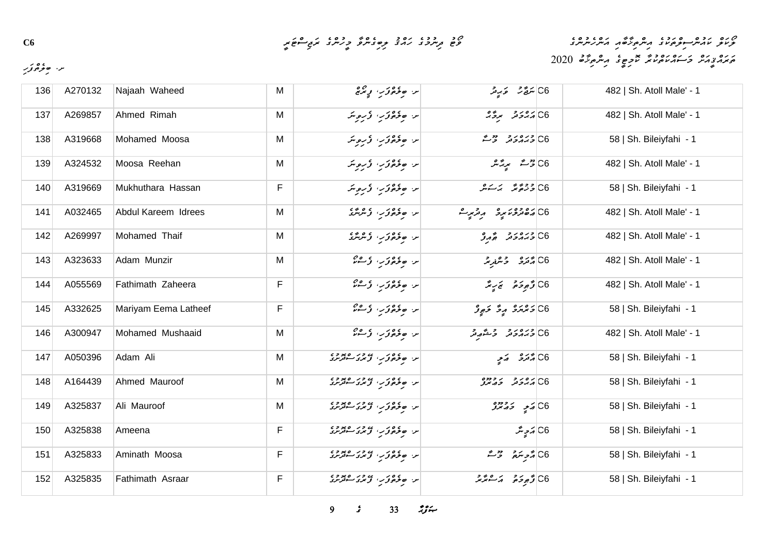*sCw7q7s5w7m< o<n9nOoAw7o< sCq;mAwBoEw7q<m; wBm;vB 2020*<br>*په پوهر وسوډيرونو لومو د موجو د مرمونه* 2020

| 136 | A270132 | Najaah Waheed        | M           | بن ھِ دُھُوَبَ وِ بَرْج                                 | C6 سَمَةً مَتَّ مَدِيمً                             | 482   Sh. Atoll Male' - 1 |
|-----|---------|----------------------|-------------|---------------------------------------------------------|-----------------------------------------------------|---------------------------|
| 137 | A269857 | Ahmed Rimah          | M           | ىن ھۆھۈر، ۋرەپتر                                        | C6   كەش <sup>ى</sup> كەرگە بىرگە                   | 482   Sh. Atoll Male' - 1 |
| 138 | A319668 | Mohamed Moosa        | M           | أأرا كالحكوكر المحرم والكرا                             | C6 دېم دېمر د حق                                    | 58   Sh. Bileiyfahi - 1   |
| 139 | A324532 | Moosa Reehan         | M           | مر ھوجوڑب و سرھ متر                                     | C6 تۇشە بېرىمىگە                                    | 482   Sh. Atoll Male' - 1 |
| 140 | A319669 | Mukhuthara Hassan    | $\mathsf F$ | بر ھۆھۈپ ۋرەپتر                                         | C6 ۇزۇنز ئەس <i>تەن</i> ر                           | 58   Sh. Bileiyfahi - 1   |
| 141 | A032465 | Abdul Kareem Idrees  | M           | مر ھۆھۈر، كى ھەممى                                      | C6 كەھىرگە <i>كىرى بويىتى</i> بولغان بويىت          | 482   Sh. Atoll Male' - 1 |
| 142 | A269997 | Mohamed Thaif        | M           | ىن ھۆھۈپ ۋەھەم                                          | C6 <i>2222 جُهورٌ</i>                               | 482   Sh. Atoll Male' - 1 |
| 143 | A323633 | Adam Munzir          | M           | ىر ھۆھۈپ ۋىس                                            | C6 كەتىرى ئەشىرىتى                                  | 482   Sh. Atoll Male' - 1 |
| 144 | A055569 | Fathimath Zaheera    | F           | ما ھۆھۈر، بى قىمى                                       | C6 <i>وَّجِوحَةْ</i> تَجَرِيمُّ                     | 482   Sh. Atoll Male' - 1 |
| 145 | A332625 | Mariyam Eema Latheef | $\mathsf F$ | بر ھۆھۈپ ۋىس                                            | C6 <i>ويرود <sub>۾</sub>وَ وَ<sub>مِو</sub>ِ</i> وْ | 58   Sh. Bileiyfahi - 1   |
| 146 | A300947 | Mohamed Mushaaid     | M           | بر ھۆھۈپ ۋىس                                            | 06] <i>ۋىزەدى قىشمى</i> تر                          | 482   Sh. Atoll Male' - 1 |
| 147 | A050396 | Adam Ali             | M           | ىن ھۆھۈكەپ ئى دىر ەيدە دى<br>س ھۆھۈكەپ ئى بىرى سەنىرىرى | C6 مُرْمَرْدَ صَعِي                                 | 58   Sh. Bileiyfahi - 1   |
| 148 | A164439 | Ahmed Mauroof        | M           | د ن عروب است در ۲۶ وروه<br>د ن عروفرب و مرد سه ترس      | C6 <i>ההכת בהית</i>                                 | 58   Sh. Bileiyfahi - 1   |
| 149 | A325837 | Ali Mauroof          | M           | ر موقوف و د مرده ده<br>مستوفوف و مرد سوفر در            | C6 <i>مَحٍ حَمَّ</i> مَعَهُ                         | 58   Sh. Bileiyfahi - 1   |
| 150 | A325838 | Ameena               | $\mathsf F$ | بر نصور و در معدد د                                     | C6 کړ <sub>چ</sub> يگر                              | 58   Sh. Bileiyfahi - 1   |
| 151 | A325833 | Aminath Moosa        | F           | ىن ھۆھۈكەپ ئى دىر ەيدە دى<br>س ھۆھۈكەپ ئى بىرى سەنىرىرى | C6 مُجِسَعَةِ حَيْثَةَ                              | 58   Sh. Bileiyfahi - 1   |
| 152 | A325835 | Fathimath Asraar     | F           | بر نصوره در معدد و در با                                | C6 <i>وَّجوح</i> و مُ مُسْتَمَر                     | 58   Sh. Bileiyfahi - 1   |

*9 s* 33 *i*<sub>S</sub>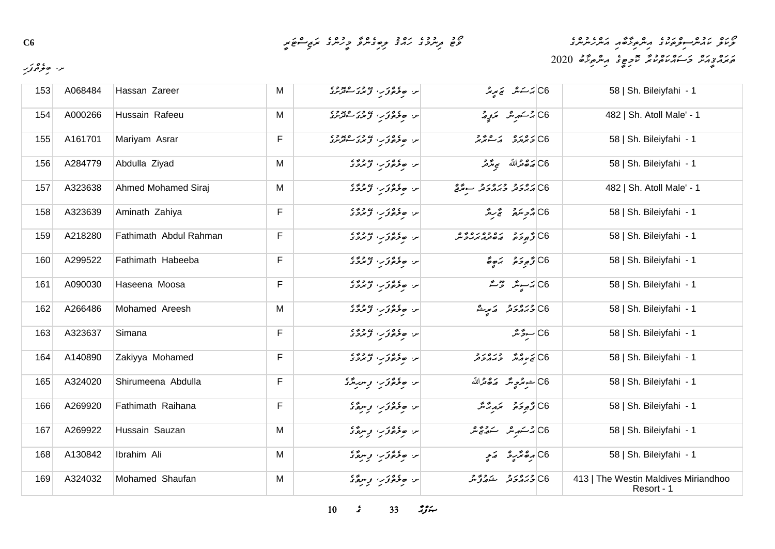*sCw7q7s5w7m< o<n9nOoAw7o< sCq;mAwBoEw7q<m; wBm;vB* م من المرة المرة المرة المرجع المرجع في المركبة 2020<br>مجم*د المريض المربوط المربع المرجع في المراجع المركبة* 

| 153 | A068484 | Hassan Zareer          | M | د ه خود کرد ور ورد ده.<br>د ه خود کرد که در معرف | C6  ئەسىئەمىر ئ <sub>ىم ئىرى</sub> تمە               | 58   Sh. Bileiyfahi - 1                            |
|-----|---------|------------------------|---|--------------------------------------------------|------------------------------------------------------|----------------------------------------------------|
| 154 | A000266 | Hussain Rafeeu         | M | ر په ده ور مرده ده د                             | C6 بر شهر شر سر پر پر محمد پر پر 2<br>مسلم           | 482   Sh. Atoll Male' - 1                          |
| 155 | A161701 | Mariyam Asrar          | F | بر په دور ويوه وه د                              | C6 كەبىر بەر يەر يەر يېزىر                           | 58   Sh. Bileiyfahi - 1                            |
| 156 | A284779 | Abdulla Ziyad          | M | بن ھۆھۈپ ئەدەر                                   | C6 مَەھىراللە م <sub>ە</sub> مَزىر                   | 58   Sh. Bileiyfahi - 1                            |
| 157 | A323638 | Ahmed Mohamed Siraj    | M | بن ھۆھۈپ ئەدەر                                   | C6 גלכנג כגבכנג ה-25                                 | 482   Sh. Atoll Male' - 1                          |
| 158 | A323639 | Aminath Zahiya         | F | بن ھۆھۈپ ئەدەر                                   | C6 مُجِسَعَةٍ تَجْرِيمٌ                              | 58   Sh. Bileiyfahi - 1                            |
| 159 | A218280 | Fathimath Abdul Rahman | F | بن ھۆھۈپ ئەدەر                                   | $C6$ $\zeta$ $\zeta$ $\zeta$ $\zeta$ $\zeta$ $\zeta$ | 58   Sh. Bileiyfahi - 1                            |
| 160 | A299522 | Fathimath Habeeba      | F | بن ھۆھۈپ ئەدەر                                   | $\delta$ وَجوحَمَ بَرَصِعَ                           | 58   Sh. Bileiyfahi - 1                            |
| 161 | A090030 | Haseena Moosa          | F | بن ھۆھۈپ ئەدەر                                   | C6 ئەسبەئىر ق <sup>ەم</sup> ىگە                      | 58   Sh. Bileiyfahi - 1                            |
| 162 | A266486 | Mohamed Areesh         | M | بن ھۆھۈپ ئەدەر                                   | C6  <i>32,325 كەبى</i> ر                             | 58   Sh. Bileiyfahi - 1                            |
| 163 | A323637 | Simana                 | F | ىن ھۆھۈپ ئەدەر                                   | C6_يوڤر                                              | 58   Sh. Bileiyfahi - 1                            |
| 164 | A140890 | Zakiyya Mohamed        | F | ىن ھۆھۈپ بې دەر                                  | C6 <i><i>יותה כגתכת</i></i>                          | 58   Sh. Bileiyfahi - 1                            |
| 165 | A324020 | Shirumeena Abdulla     | F | ىن ھۆھۈك ۋىلەشى                                  | C6 جومتر <i>م پڻ مذڪور الل</i> ه                     | 58   Sh. Bileiyfahi - 1                            |
| 166 | A269920 | Fathimath Raihana      | F | ىر ھۆھۈپ رىرگەنى                                 | C6 ۇ <sub>ج</sub> وڭ ئىرىگى <i>د</i>                 | 58   Sh. Bileiyfahi - 1                            |
| 167 | A269922 | Hussain Sauzan         | M | ىن ھۆھۈك بوسۇقى                                  | C6 يُرسَمب <sup>9</sup> سَمَ <i>مِيَّةً م</i> ُر     | 58   Sh. Bileiyfahi - 1                            |
| 168 | A130842 | Ibrahim Ali            | M | ىن ھۆھۈك بوسۇڭ                                   | C6 مەھم <i>گىي</i> ھەممىي                            | 58   Sh. Bileiyfahi - 1                            |
| 169 | A324032 | Mohamed Shaufan        | M | ىر ھۆھۈك رىدۇ.                                   | C6 <i>دېمم</i> ونو ش <i>مو</i> ژېټر                  | 413   The Westin Maldives Miriandhoo<br>Resort - 1 |

*10 s* 33 *if*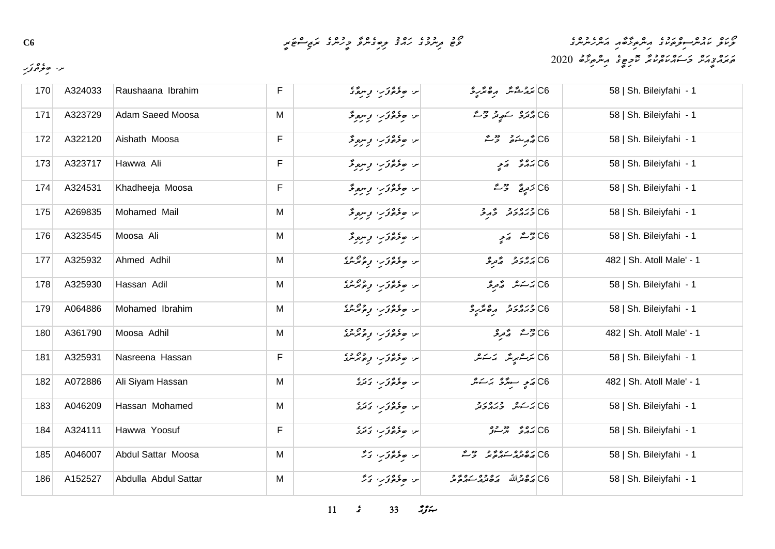*sCw7q7s5w7m< o<n9nOoAw7o< sCq;mAwBoEw7q<m; wBm;vB* م من المرة المرة المرة المرجع المرجع في المركبة 2020<br>مجم*د المريض المربوط المربع المرجع في المراجع المركبة* 

| 170 | A324033 | Raushaana Ibrahim    | F | ر ھۆھۈپ رىرگە        | C6 <i>ىكەڭ ھەھەر بى</i>                                     | 58   Sh. Bileiyfahi - 1   |
|-----|---------|----------------------|---|----------------------|-------------------------------------------------------------|---------------------------|
| 171 | A323729 | Adam Saeed Moosa     | M | من ھۆھۈكە، بوسىيەنچ  | C6 مُتَعَرَّدُ شَهْرِ مُرْ حَمَّتُ ا                        | 58   Sh. Bileiyfahi - 1   |
| 172 | A322120 | Aishath Moosa        | F | ىن ھۆھۈك ۋىلىرۇ      | C6 مەم شەھر ت <sup>و</sup> شە                               | 58   Sh. Bileiyfahi - 1   |
| 173 | A323717 | Hawwa Ali            | F | ىن ھۆھۈپ ۋىن ئىچ     | C6 يَدْرُقَ   مَرِ                                          | 58   Sh. Bileiyfahi - 1   |
| 174 | A324531 | Khadheeja Moosa      | F | ین ھۆھۈك ۋىلىدۇ.     |                                                             | 58   Sh. Bileiyfahi - 1   |
| 175 | A269835 | Mohamed Mail         | M | ىر ھۆھۈك ۋىروڭ       | C6  <i>3223<sub>84</sub>3 </i>                              | 58   Sh. Bileiyfahi - 1   |
| 176 | A323545 | Moosa Ali            | M | ىر ھۆھۈك ۋىن گە      | C6 فخرشہ تھ پر                                              | 58   Sh. Bileiyfahi - 1   |
| 177 | A325932 | Ahmed Adhil          | M | ر ەن ھەرب وەرمى      | C6 كەش <sup>ى</sup> قىر قەر ئىلىمى قىلىمى قىلىمى قىلىمى قىل | 482   Sh. Atoll Male' - 1 |
| 178 | A325930 | Hassan Adil          | M | ر ەمدەن. دەرى        | C6 ئەسەمىر م <i>ەيدى</i>                                    | 58   Sh. Bileiyfahi - 1   |
| 179 | A064886 | Mohamed Ibrahim      | M | من صور وزير ده وه وه | C6 <i>وُبَهُ وَوَفَرٍ مِنْ مُرَّبِ</i> وَ                   | 58   Sh. Bileiyfahi - 1   |
| 180 | A361790 | Moosa Adhil          | M | ر ەن ھەرب وەرمى      | C6 تۇشقا ھەمبەنتى                                           | 482   Sh. Atoll Male' - 1 |
| 181 | A325931 | Nasreena Hassan      | F | بر ھۆھۈپ ۋە دەر      | C6 ىترىشىرىنتى كەستەنتى                                     | 58   Sh. Bileiyfahi - 1   |
| 182 | A072886 | Ali Siyam Hassan     | M | ر ھوگھوتر، باتھا     | C6 كەبىي سە <i>نگە ئاسكەنل</i>                              | 482   Sh. Atoll Male' - 1 |
| 183 | A046209 | Hassan Mohamed       | M | ر گوهور، دره         | C6 ئەسەمىر <i>مەندەرە</i>                                   | 58   Sh. Bileiyfahi - 1   |
| 184 | A324111 | Hawwa Yoosuf         | F | ر موکوکر کرد کا      | C6 <i>بَدْهُ * بِيْ</i> سَوْ                                | 58   Sh. Bileiyfahi - 1   |
| 185 | A046007 | Abdul Sattar Moosa   | M | بر ھۆھۈپ ئەش         | 2, 3, 2, 2, 2, 2, 2, 0                                      | 58   Sh. Bileiyfahi - 1   |
| 186 | A152527 | Abdulla Abdul Sattar | M | من ھۆھۈك ئەڭ         | $0.9585$ مَصْحَدُ اللَّهُ مَصْعَدِ مِسْعَدِ مُحَمَّدَ       | 58   Sh. Bileiyfahi - 1   |

 $11$  *s* 33  $23$ 

مر، ھ*وه*ور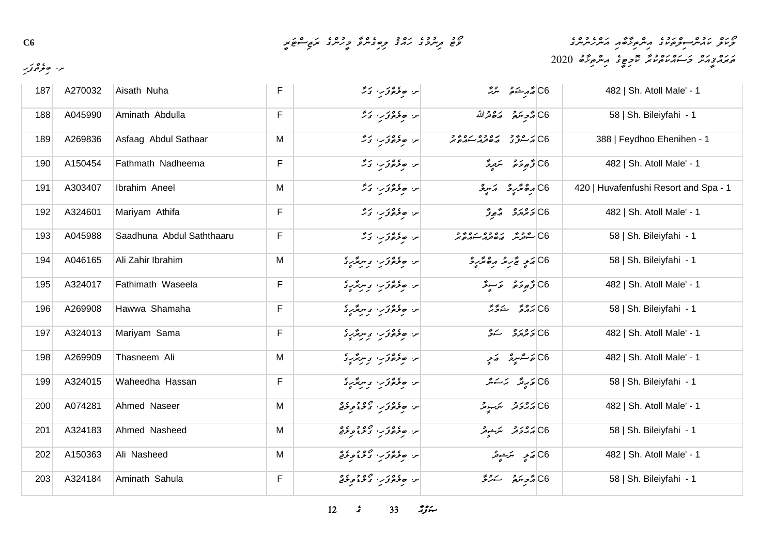*sCw7q7s5w7m< o<n9nOoAw7o< sCq;mAwBoEw7q<m; wBm;vB* م من المرة المرة المرة المرجع المرجع في المركبة 2020<br>مجم*د المريض المربوط المربع المرجع في المراجع المركبة* 

| 187 | A270032 | Aisath Nuha               | F            | ابر ھۆھۈپ ئ         | C6 م <i>ەم ھەققى</i> مىرگە         | 482   Sh. Atoll Male' - 1             |
|-----|---------|---------------------------|--------------|---------------------|------------------------------------|---------------------------------------|
| 188 | A045990 | Aminath Abdulla           | F            | ما ھۆھۈك ئەڭ        | C6 مُرْحِبَتِهِ مَصْغَرِاللَّه     | 58   Sh. Bileiyfahi - 1               |
| 189 | A269836 | Asfaag Abdul Sathaar      | M            | بر ھۆھۈپ ئەت        |                                    | 388   Feydhoo Ehenihen - 1            |
| 190 | A150454 | Fathmath Nadheema         | $\mathsf{F}$ | ر ھۆھۈپ ئ           | C6 تَ <i>'جِ حَامَى سَ</i> عِرِمَّ | 482   Sh. Atoll Male' - 1             |
| 191 | A303407 | Ibrahim Aneel             | M            | ر ھۆھۈپ ئ           | C6 مەھەرىپى مەسىرى                 | 420   Huvafenfushi Resort and Spa - 1 |
| 192 | A324601 | Mariyam Athifa            | $\mathsf{F}$ | ر ھۆھۋب ئ           | C6 <i>خىرىز ئەبو</i> ر             | 482   Sh. Atoll Male' - 1             |
| 193 | A045988 | Saadhuna Abdul Saththaaru | F            | بر ھۆھۈپ ئ          | C6 گەنگرىگر برگ <i>ھەر مەھ بىر</i> | 58   Sh. Bileiyfahi - 1               |
| 194 | A046165 | Ali Zahir Ibrahim         | M            | ىن ھۆھۈك بىلەپكىرى  | C6 مَرِ پُربِرْ مِرْهُ بَرُدِ وَ   | 58   Sh. Bileiyfahi - 1               |
| 195 | A324017 | Fathimath Waseela         | F            | ر ەنھۇر، رىدىگرى    | C6 تۇمومۇم - ئەسىر <del>گ</del> ە  | 482   Sh. Atoll Male' - 1             |
| 196 | A269908 | Hawwa Shamaha             | F            | ىن ھۆھۈك بەيدىگرىكى | $232 + 222$                        | 58   Sh. Bileiyfahi - 1               |
| 197 | A324013 | Mariyam Sama              | $\mathsf{F}$ | ىن ھۆھۈك بەيدىگرىكى | C6 ئ <i>ۇيۇۋ سۇ</i> ۋ              | 482   Sh. Atoll Male' - 1             |
| 198 | A269909 | Thasneem Ali              | M            | ىن ھۆھۈك يەستەرى    | C6 <i>جَي شيرچھ ج</i> َ بِي        | 482   Sh. Atoll Male' - 1             |
| 199 | A324015 | Waheedha Hassan           | $\mathsf{F}$ | ىن ھۆھۈك يەسكەرى    | C6 <i>قەيدىگە</i> ئەس <i>ت</i> ىش  | 58   Sh. Bileiyfahi - 1               |
| 200 | A074281 | Ahmed Naseer              | M            | ين ھۆھۈك كەم دەم كە | C6 <i>مُمْدَّدَة مَرْسِ</i> مِّرُ  | 482   Sh. Atoll Male' - 1             |
| 201 | A324183 | Ahmed Nasheed             | M            | ر ھۆھۈك ئىم قوم ئ   | C6 كەبرى قىر سىزىيە ئىر            | 58   Sh. Bileiyfahi - 1               |
| 202 | A150363 | Ali Nasheed               | M            | ر ھۆھۈك ئىم قوم ئ   | C6 كەنچە - سەئىيەتىر               | 482   Sh. Atoll Male' - 1             |
| 203 | A324184 | Aminath Sahula            | F            | بن ھۆھۈك كەم ئەھ    | C6 مَّەحِسَمَّە سَنَرْتَوَّ        | 58   Sh. Bileiyfahi - 1               |

 $12$  *s* 33  $23$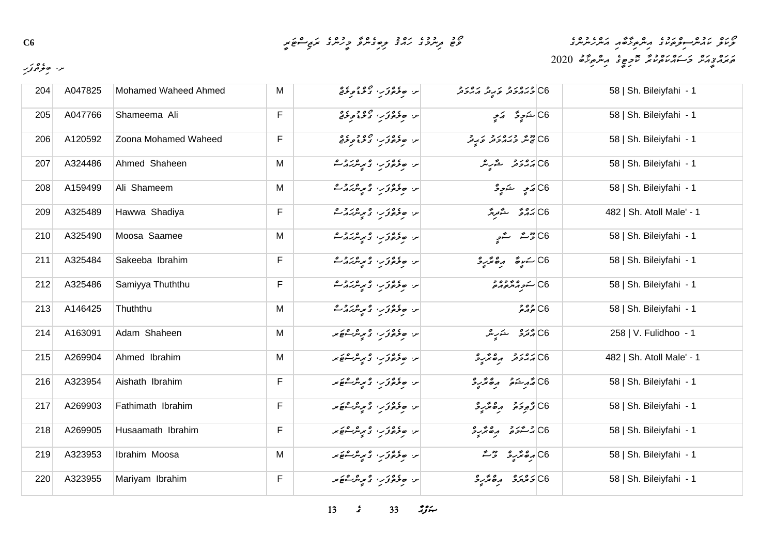*sCw7q7s5w7m< o<n9nOoAw7o< sCq;mAwBoEw7q<m; wBm;vB 2020*<br>*په پوهر وسوډيرونو لومو د موجو د مرمونه* 2020

| 204 | A047825 | Mohamed Waheed Ahmed | M           | ر ەۋەر، مەدەبە                | C6 <i>כהרכת פֿ</i> יגַע <i>הרכת</i> | 58   Sh. Bileiyfahi - 1   |
|-----|---------|----------------------|-------------|-------------------------------|-------------------------------------|---------------------------|
| 205 | A047766 | Shameema Ali         | F           | ر ەممەدىر، مەدەبەھ            | C6 څوچو ک <i>ړې</i>                 | 58   Sh. Bileiyfahi - 1   |
| 206 | A120592 | Zoona Mohamed Waheed | $\mathsf F$ | بن ھۆھۈپ مەم دەپم             | C6 تج مگر <i>5 برو در و بر</i> ور   | 58   Sh. Bileiyfahi - 1   |
| 207 | A324486 | Ahmed Shaheen        | M           | المستصغرون ولي المردام        |                                     | 58   Sh. Bileiyfahi - 1   |
| 208 | A159499 | Ali Shameem          | M           | ابر ھۆھۈر، ئىمپىكرىمىگە       | C6 <i>ڇَوِ خوچ</i> و                | 58   Sh. Bileiyfahi - 1   |
| 209 | A325489 | Hawwa Shadiya        | $\mathsf F$ | المن ھۆكەنى، ئەمدىكەن ئە      | C6 <i>بَدْهُ جُمْ مِدَّمَّةٍ</i>    | 482   Sh. Atoll Male' - 1 |
| 210 | A325490 | Moosa Saamee         | M           | ىن ھۆھۈك ئىمپىكرىدە ئ         | C6 فق <sup>ع</sup> شو               | 58   Sh. Bileiyfahi - 1   |
| 211 | A325484 | Sakeeba Ibrahim      | $\mathsf F$ | المن ھۆكەنى، ئەمدىكەن ئە      | $\mathcal{E}$ جَسِرةَ مِسْتَرِدْ    | 58   Sh. Bileiyfahi - 1   |
| 212 | A325486 | Samiyya Thuththu     | F           | المن ھۆكەنى، ئەمدىكەن ئە      | 06 سەھەممى <i>مەدە</i> م            | 58   Sh. Bileiyfahi - 1   |
| 213 | A146425 | Thuththu             | M           | ىن ھۆھۈك ئىم بىرىدە ئ         | C6 حو <i>ه</i> حو                   | 58   Sh. Bileiyfahi - 1   |
| 214 | A163091 | Adam Shaheen         | M           | الرا ھۆكۈكىزا ئەيرىكرىسىغالىر | C6 <i>مُنْ تَدَرِ مُدْ مِنْ</i>     | 258   V. Fulidhoo - 1     |
| 215 | A269904 | Ahmed Ibrahim        | M           | بر ھۆھۈك كەيرىكرىسى بىر       | C6 <i>ב ج</i> و د م محمد د م        | 482   Sh. Atoll Male' - 1 |
| 216 | A323954 | Aishath Ibrahim      | $\mathsf F$ | ىر ھۆۋۈر، دېرىرگەنغ           | C6 مُرِيسَمُ مِصْرَبِةِ             | 58   Sh. Bileiyfahi - 1   |
| 217 | A269903 | Fathimath Ibrahim    | $\mathsf F$ | ىن ھۆھۈك ئىچ مېشرىققىم        | C6 <i>وَّجِوَدَهُ بِهِ</i> هْتَدِةِ | 58   Sh. Bileiyfahi - 1   |
| 218 | A269905 | Husaamath Ibrahim    | $\mathsf F$ | ىر. ھۆۋۈر، ئىمپىرىشقىر        | C6 جُسْعَوَمُ مِنْ مُحْرِبِةِ       | 58   Sh. Bileiyfahi - 1   |
| 219 | A323953 | Ibrahim Moosa        | M           | ىر ھۆۋۈر، دېرىرگەنغ           | $23 - 22 = 100$                     | 58   Sh. Bileiyfahi - 1   |
| 220 | A323955 | Mariyam Ibrahim      | F           | ىن ھۆھۈك ئىم بىر سىز كەنبە    | C6 <i>كا بارداد با مارياد</i>       | 58   Sh. Bileiyfahi - 1   |

*13 <i>s*<sub>3</sub> *s*<sub>3</sub> *33 z*<sub>3</sub> *z*<sub>3</sub> *z*<sub>3</sub>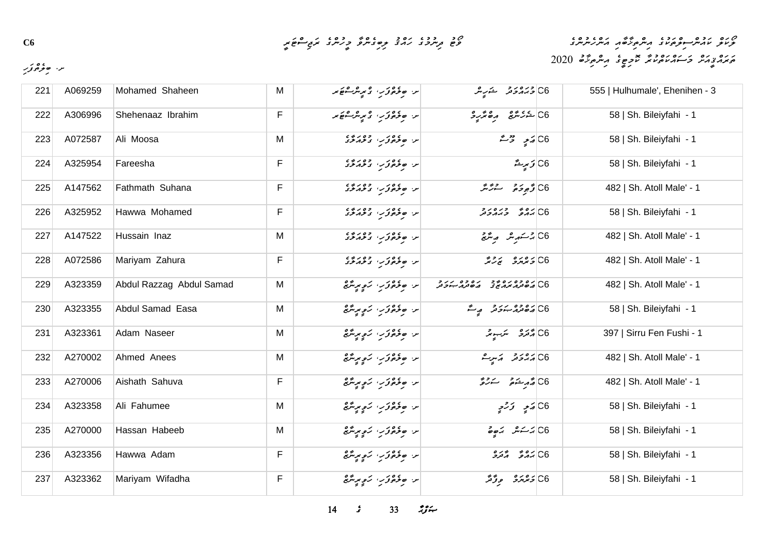*sCw7q7s5w7m< o<n9nOoAw7o< sCq;mAwBoEw7q<m; wBm;vB* م من المرة المرة المرة المرجع المرجع في المركبة 2020<br>مجم*د المريض المربوط المربع المرجع في المراجع المركبة* 

| 221 | A069259 | Mohamed Shaheen          | M            | ر مؤوزين ويرشر عويد      | C6 <i>ۇنەم دۇر</i> ش <i>ېرى</i> ر                  | 555   Hulhumale', Ehenihen - 3 |
|-----|---------|--------------------------|--------------|--------------------------|----------------------------------------------------|--------------------------------|
| 222 | A306996 | Shehenaaz Ibrahim        | F            | الرا ھۆكۈك ئى ئېرىكرىسكى | C6 شرى <i>مى مەشرى</i> ۋ                           | 58   Sh. Bileiyfahi - 1        |
| 223 | A072587 | Ali Moosa                | M            | ر ەمدەر ، دەرد ،         | $23 \div 26$                                       | 58   Sh. Bileiyfahi - 1        |
| 224 | A325954 | Fareesha                 | F            | ر ەمدەر دەردە            | C6 كوسيستة                                         | 58   Sh. Bileiyfahi - 1        |
| 225 | A147562 | Fathmath Suhana          | $\mathsf{F}$ | ر ەمزەۋر، دەردە          | C6 <i>وَّج</i> وحَة مُسْتَشَرَّ                    | 482   Sh. Atoll Male' - 1      |
| 226 | A325952 | Hawwa Mohamed            | $\mathsf F$  | ر ەممەرى، مۇرى           | $5.223$ $5.22$ $C6$                                | 58   Sh. Bileiyfahi - 1        |
| 227 | A147522 | Hussain Inaz             | M            | ر ەممەرى، مۇرى           | C6 ئرسكىرىنىش مەيتىتى <b>C6</b>                    | 482   Sh. Atoll Male' - 1      |
| 228 | A072586 | Mariyam Zahura           | $\mathsf F$  | بن ھۆھۈپ، دەرى           | C6 <i>خەمگە ئاسمى</i> ئىگە                         | 482   Sh. Atoll Male' - 1      |
| 229 | A323359 | Abdul Razzag Abdul Samad | M            |                          | C6 مصر معدد مدد مدد مدد و مدد اس موثور من كرم موشى | 482   Sh. Atoll Male' - 1      |
| 230 | A323355 | Abdul Samad Easa         | M            | ىن ھۆھۈك كۆپرىدىگە       | C6 مەھىرمە سىزدىر مېڭ                              | 58   Sh. Bileiyfahi - 1        |
| 231 | A323361 | Adam Naseer              | M            | ىن ھۆھۈك كۆپرىدىگە       | C6 مُرتَّدَدٌ سَرَسِيمُ                            | 397   Sirru Fen Fushi - 1      |
| 232 | A270002 | Ahmed Anees              | M            | ىن ھۆھۈك كۆپرىدى         | C6   كەبرى كىلى كەسىرىسى ئىس                       | 482   Sh. Atoll Male' - 1      |
| 233 | A270006 | Aishath Sahuva           | F            | ىن ھۆھۈك كۆپرىدى         | C6 مەم ئىقتىمە ئىسكىنى ئىش                         | 482   Sh. Atoll Male' - 1      |
| 234 | A323358 | Ali Fahumee              | M            | ىر ھۆھۈر، ئوپرىدى        | C6 <i>ڇُجِ وَرُحي</i>                              | 58   Sh. Bileiyfahi - 1        |
| 235 | A270000 | Hassan Habeeb            | M            | ىر. ھۆھۈكە، سەھ بېرىترچ  | $202.$ $-2.20$                                     | 58   Sh. Bileiyfahi - 1        |
| 236 | A323356 | Hawwa Adam               | F            | ىر. ھۆھۈكە، سەھ بېرىترچ  | $5.5$ $5.2$ $\sim$ $06$                            | 58   Sh. Bileiyfahi - 1        |
| 237 | A323362 | Mariyam Wifadha          | F            | ىر. ھۆھۈكە، سەھ بېرىترچ  | C6 <i>كَمُحْمَدَةْ وِوَّدَّ</i>                    | 58   Sh. Bileiyfahi - 1        |

**14** *s* 33 *<i>n*<sub>3</sub> *s*<sub>3</sub> *n*<sub>1</sub>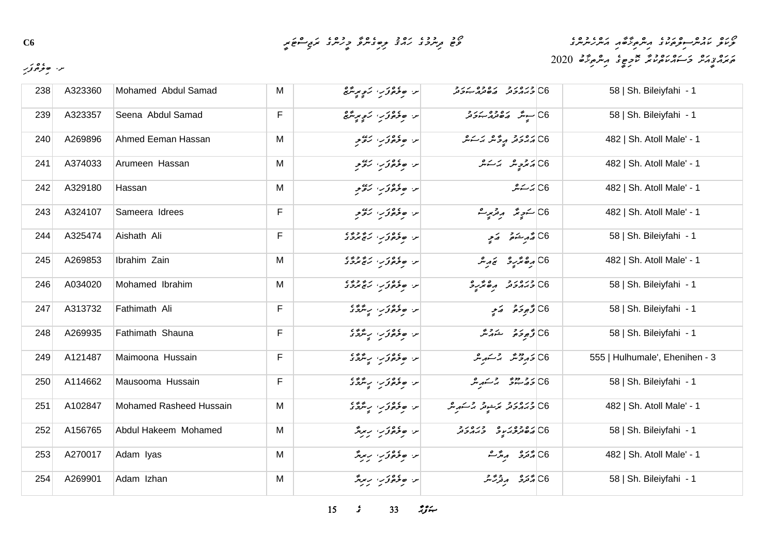*sCw7q7s5w7m< o<n9nOoAw7o< sCq;mAwBoEw7q<m; wBm;vB* م من المرة المرة المرة المرجع المرجع في المركبة 2020<br>مجم*د المريض المربوط المربع المرجع في المراجع المركبة* 

| 238 | A323360 | Mohamed Abdul Samad     | M            | ىر. ھۆھۈكە، سەھ بېرىترچ      |                                           | 58   Sh. Bileiyfahi - 1        |
|-----|---------|-------------------------|--------------|------------------------------|-------------------------------------------|--------------------------------|
| 239 | A323357 | Seena Abdul Samad       | F            | ىن ھۆھۈك كۆپرىدى             | C6 سومتر م <i>ەھەرمىدە ت</i> ر            | 58   Sh. Bileiyfahi - 1        |
| 240 | A269896 | Ahmed Eeman Hassan      | M            | بر ھوگھور، رہنمو             | C6 كەبۇر قىر بۇ ئەسەئىر                   | 482   Sh. Atoll Male' - 1      |
| 241 | A374033 | Arumeen Hassan          | M            | بر ھوگھور، رہنمو             | C6 كەيمرىيە مەسەئىر                       | 482   Sh. Atoll Male' - 1      |
| 242 | A329180 | Hassan                  | M            | ىن ھۆھۈك ئەھج                | C6 ئەسىئەتە                               | 482   Sh. Atoll Male' - 1      |
| 243 | A324107 | Sameera Idrees          | $\mathsf{F}$ | ىن ھۆھۈر، رىمىم              | C6 سەچ ئىگە موقدىمو <sup>مى</sup>         | 482   Sh. Atoll Male' - 1      |
| 244 | A325474 | Aishath Ali             | F            | س ھۆھۈپ، سەمدە               | C6 مەم شەمۇ ھ <i>ەم</i> چ                 | 58   Sh. Bileiyfahi - 1        |
| 245 | A269853 | Ibrahim Zain            | M            | ر موروب رودون                | C6 مەھە <i>ئزى</i> رى ئ <sub>ەمب</sub> ىر | 482   Sh. Atoll Male' - 1      |
| 246 | A034020 | Mohamed Ibrahim         | M            | المن كالحرموث المركبة والأما | C6 <i>ڈیزوونز م</i> ھٹریٹ                 | 58   Sh. Bileiyfahi - 1        |
| 247 | A313732 | Fathimath Ali           | F            | ما ھۆھۈر، سەھ ئ              | C6 وَج <i>وحَ</i> هُمَ مِهِ مِ            | 58   Sh. Bileiyfahi - 1        |
| 248 | A269935 | Fathimath Shauna        | F            | ين ھۆھۈپ پەنگەنى             | C6 <i>وَّجِوَدَة</i> شَ <i>مَرْ</i> مَّر  | 58   Sh. Bileiyfahi - 1        |
| 249 | A121487 | Maimoona Hussain        | F            | ىر ھۆھۈپ پەنگەنى             | C6 كەرىخ تىگە جامبەتلەر                   | 555   Hulhumale', Ehenihen - 3 |
| 250 | A114662 | Mausooma Hussain        | $\mathsf F$  | ىر ھۆھۈپ پەنگەنى             | C6 <i>خەمبىنى جىمبەيى</i> ر               | 58   Sh. Bileiyfahi - 1        |
| 251 | A102847 | Mohamed Rasheed Hussain | M            | ىن ھۆھۈر، رىگەن              | C6 <i>وبرو دو برخونه برخور ش</i>          | 482   Sh. Atoll Male' - 1      |
| 252 | A156765 | Abdul Hakeem Mohamed    | M            | س ھۆھۋىر، رىرىد              | C6 בּפּעלִנְעַל כֹּגֹתְכִע                | 58   Sh. Bileiyfahi - 1        |
| 253 | A270017 | Adam Iyas               | M            | بن ھِ دُھُوَبُ رِ بِرِيْرُ   | C6 مُرْمَرْدَ مِتَرْتَ ِ                  | 482   Sh. Atoll Male' - 1      |
| 254 | A269901 | Adam Izhan              | M            | المزا ھۆكۈكۈر، سىرىد         | C6 مُرْمَرْدَ مِنْرَسَّد                  | 58   Sh. Bileiyfahi - 1        |

 $15$  *s* 33  $23$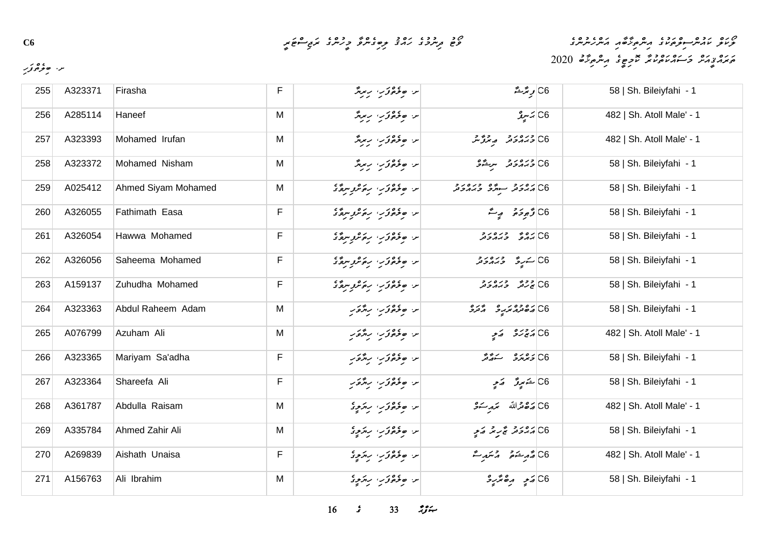*sCw7q7s5w7m< o<n9nOoAw7o< sCq;mAwBoEw7q<m; wBm;vB* م من المرة المرة المرة المرجع المرجع في المركبة 2020<br>مجم*د المريض المربوط المربع المرجع في المراجع المركبة* 

| 255 | A323371 | Firasha             | F           | ىر ھۆھۈك رىدىگە                             | C6 پر پڑتے                                         | 58   Sh. Bileiyfahi - 1   |  |
|-----|---------|---------------------|-------------|---------------------------------------------|----------------------------------------------------|---------------------------|--|
| 256 | A285114 | Haneef              | M           | ىن ھۆھۈك رىدىگە                             | C6 ئەسىرى                                          | 482   Sh. Atoll Male' - 1 |  |
| 257 | A323393 | Mohamed Irufan      | M           | من ھۆھۈكەر، سەبىر                           | C6 <i>ۋېرو دې مېروگىر</i>                          | 482   Sh. Atoll Male' - 1 |  |
| 258 | A323372 | Mohamed Nisham      | M           | ما ھۆھۈك بىر                                | C6 <i>وُبَهُ وَبَوْ</i> سَرِيْتُوْ وَ              | 58   Sh. Bileiyfahi - 1   |  |
| 259 | A025412 | Ahmed Siyam Mohamed | M           | من ھِ جُھُورَ بِ سِيَوَ مِنْ مِنْ مِنْ مِنْ | 06 كەنگە ئەرەپ مەدەر د                             | 58   Sh. Bileiyfahi - 1   |  |
| 260 | A326055 | Fathimath Easa      | $\mathsf F$ | الرا ھۆكۈك بەكەنگەنلىرىگە                   | C6 <i>وُجوح</i> قو ۾ پُ                            | 58   Sh. Bileiyfahi - 1   |  |
| 261 | A326054 | Hawwa Mohamed       | $\mathsf F$ | ىن ھۆھۈك بەھ ئروسرى                         | $5,000$ $200$ $200$                                | 58   Sh. Bileiyfahi - 1   |  |
| 262 | A326056 | Saheema Mohamed     | $\mathsf F$ | المن ھۆكەنۇب سەھرىس ھە                      | C6 س <i>َرِیْ دُبَہْدَوں</i>                       | 58   Sh. Bileiyfahi - 1   |  |
| 263 | A159137 | Zuhudha Mohamed     | $\mathsf F$ | من ھۆھۈر، سەھرىسىدى                         | C6 يحرقر ب <i>وروب</i> وبر                         | 58   Sh. Bileiyfahi - 1   |  |
| 264 | A323363 | Abdul Raheem Adam   | M           | ر ھوھۇب رىڭ بە                              | C6 בֿבּינגז, 25 גֿינג                              | 58   Sh. Bileiyfahi - 1   |  |
| 265 | A076799 | Azuham Ali          | M           | ىن ھۆھۈپ بەرگەب                             | C6 كەينى <i>3 كەب</i> ر                            | 482   Sh. Atoll Male' - 1 |  |
| 266 | A323365 | Mariyam Sa'adha     | F           | ىن ھۆھۈك بەرگۈپ                             | C6 ئ <i>ويىرى سۇم</i> تر                           | 58   Sh. Bileiyfahi - 1   |  |
| 267 | A323364 | Shareefa Ali        | $\mathsf F$ | ىن ھۆھۈك رەمۇر                              | C6 ڪيوٽر <i>آھي</i>                                | 58   Sh. Bileiyfahi - 1   |  |
| 268 | A361787 | Abdulla Raisam      | M           | ر ھۆھۈپ رىكرچ                               | C6 مَ <b>صْ</b> قَراللَّهُ مَ <sub>ح</sub> مِ سَوْ | 482   Sh. Atoll Male' - 1 |  |
| 269 | A335784 | Ahmed Zahir Ali     | M           | ر ھۆھۈپ سەھبى                               | C6 كەبرى قىر قىلى ئىلىم ئىلىپ قىلىپ                | 58   Sh. Bileiyfahi - 1   |  |
| 270 | A269839 | Aishath Unaisa      | $\mathsf F$ | ر ھۆھۈپ بەرجە                               | C6 مُدمِسْمَة مُسَدِسَّة                           | 482   Sh. Atoll Male' - 1 |  |
| 271 | A156763 | Ali Ibrahim         | M           | ر ھۆھۈپ رىزدى                               |                                                    | 58   Sh. Bileiyfahi - 1   |  |

 $16$  *s* 33  $23$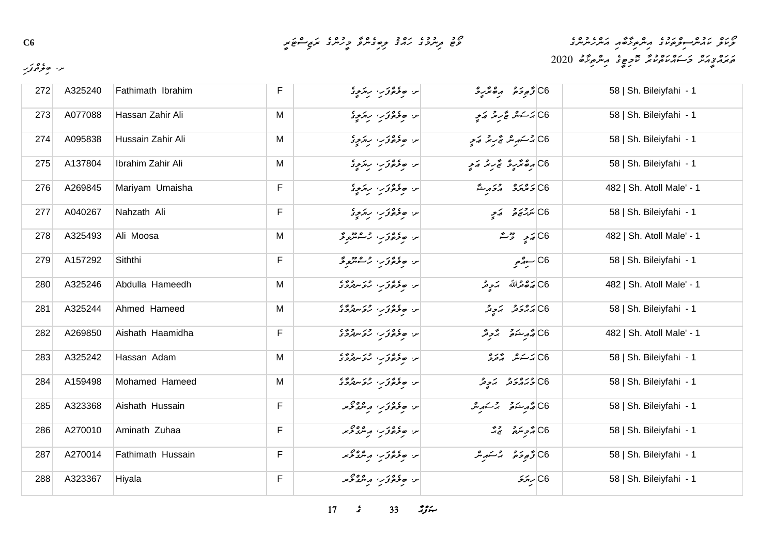*sCw7q7s5w7m< o<n9nOoAw7o< sCq;mAwBoEw7q<m; wBm;vB* م من المرة المرة المرة المرجع المرجع في المركبة 2020<br>مجم*د المريض المربوط المربع المرجع في المراجع المركبة* 

| 272 | A325240 | Fathimath Ibrahim | F | ىر ھۆھۈك بەكروپى     | C6 تَ <i>جوحَمْ م</i> ِ صَمَّرِ مِ  | 58   Sh. Bileiyfahi - 1   |
|-----|---------|-------------------|---|----------------------|-------------------------------------|---------------------------|
| 273 | A077088 | Hassan Zahir Ali  | M | ر ھۆھۈپ سەھبى        | C6  كەسەنلەر ئ <i>ارىڭ مەي</i> ر    | 58   Sh. Bileiyfahi - 1   |
| 274 | A095838 | Hussain Zahir Ali | M | ىر ھۆھۈپ بەرجەتچ     | C6 ٿرسمبر بڻ پر تھ تي په 19         | 58   Sh. Bileiyfahi - 1   |
| 275 | A137804 | Ibrahim Zahir Ali | M | ىر ھۆھۈپ بەرجەتچ     | C6  مەھ ئۇرى ئۇرىز م <sub>ە</sub> ر | 58   Sh. Bileiyfahi - 1   |
| 276 | A269845 | Mariyam Umaisha   | F | ىر ھۆھۈك بەكروپى     | C6 ك <i>ېمبرگە مىكەم</i> ىشە        | 482   Sh. Atoll Male' - 1 |
| 277 | A040267 | Nahzath Ali       | F | ىر ھۆھۈك بەكرچە      | C6 يَرَرْبَنِي مَرَ مِيَ            | 58   Sh. Bileiyfahi - 1   |
| 278 | A325493 | Ali Moosa         | M | ىر ھۆھۈپ ئەسىر ھۆ    | C6 كەبىي تۇنتە                      | 482   Sh. Atoll Male' - 1 |
| 279 | A157292 | Siththi           | F | ىر ھۆھۈپ ئەسىر ھۆ    | C6 سو <i>هو</i>                     | 58   Sh. Bileiyfahi - 1   |
| 280 | A325246 | Abdulla Hameedh   | M | ىن ھۆھۈك رەسىردە     | C6 كەھەراللە ئەربىر                 | 482   Sh. Atoll Male' - 1 |
| 281 | A325244 | Ahmed Hameed      | M | ر ەمدە دىر، ئەسلىردى | C6   كەشكە قىرىقى بەر ئىل           | 58   Sh. Bileiyfahi - 1   |
| 282 | A269850 | Aishath Haamidha  | F | ىر ھۆھۈپ رەسىردە     | C6 م <i>ەمبىغى مەمبەت</i> ر         | 482   Sh. Atoll Male' - 1 |
| 283 | A325242 | Hassan Adam       | M | ىن ھۆھۈك رەسىردە     | C6 ئەسەئىر مەمر <i>ۇ</i>            | 58   Sh. Bileiyfahi - 1   |
| 284 | A159498 | Mohamed Hameed    | M | ىن ھۆھۈك رەسىردە     | C6 <i>322,3 كوفر</i><br>ما          | 58   Sh. Bileiyfahi - 1   |
| 285 | A323368 | Aishath Hussain   | F | ىن ھۆھۈپ مەشكەمىد    | C6 مەمرىشمۇ سىمىسىسىسىسى            | 58   Sh. Bileiyfahi - 1   |
| 286 | A270010 | Aminath Zuhaa     | F | ىن ھۆھۈك مەمكەمچىر   | C6 مُجبة مع محمدٌ                   | 58   Sh. Bileiyfahi - 1   |
| 287 | A270014 | Fathimath Hussain | F | ىر ھۆھۈپ مەشكەنچىمە  | C6 ۇ <sub>ج</sub> وڭ ئەسكىرىش       | 58   Sh. Bileiyfahi - 1   |
| 288 | A323367 | Hiyala            | F | ىن ھۆھۈك مەشكەمى     | C6 بەيزى <del>م</del>               | 58   Sh. Bileiyfahi - 1   |

 $17$  *s* 33  $23$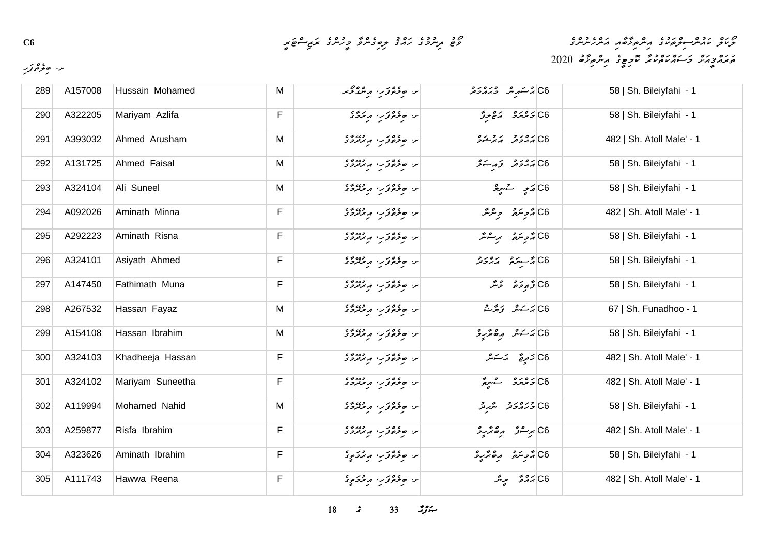*sCw7q7s5w7m< o<n9nOoAw7o< sCq;mAwBoEw7q<m; wBm;vB* م من المرة المرة المرة المرجع المرجع في المركبة 2020<br>مجم*د المريض المربوط المربع المرجع في المراجع المركبة* 

| 289 | A157008 | Hussain Mohamed  | M           | ىن ھۆھۈرى مەمكەنجىمە | C6 يُرسَمه مثر ويُزوروند                               | 58   Sh. Bileiyfahi - 1   |
|-----|---------|------------------|-------------|----------------------|--------------------------------------------------------|---------------------------|
| 290 | A322205 | Mariyam Azlifa   | F           | بر ھوجوں پر پروی     | C6 كەمھەر مەم كەنجى بورى                               | 58   Sh. Bileiyfahi - 1   |
| 291 | A393032 | Ahmed Arusham    | M           | س ھوھۇپ مەدەرى       | $5 - 7 - 7 - 100$                                      | 482   Sh. Atoll Male' - 1 |
| 292 | A131725 | Ahmed Faisal     | M           | ر موجود به مرموره    | C6   كەش <sup>ى</sup> كەر كەر بىكى ئى                  | 58   Sh. Bileiyfahi - 1   |
| 293 | A324104 | Ali Suneel       | M           | ر موجود به مرموره    | C6 کړ <i>ی شمېر</i> یځر                                | 58   Sh. Bileiyfahi - 1   |
| 294 | A092026 | Aminath Minna    | $\mathsf F$ | ر ، ھوھۇپ ، مەمەدە   | C6 مُرْجِسَةٌ وِسْرَسُّرَ                              | 482   Sh. Atoll Male' - 1 |
| 295 | A292223 | Aminath Risna    | $\mathsf F$ | س ھۆھۈپ، مەمگرى      | C6 مُرْحِسَة مِ سِسْتَر                                | 58   Sh. Bileiyfahi - 1   |
| 296 | A324101 | Asiyath Ahmed    | F           | س ھۆھۈپ مەمگرى       | C6 گەسىلىرى مەردىر                                     | 58   Sh. Bileiyfahi - 1   |
| 297 | A147450 | Fathimath Muna   | F           | ر ، ھوھور ، مرمزدی   | C6 <i>وَّجِوحَةْ</i> حَسَّ                             | 58   Sh. Bileiyfahi - 1   |
| 298 | A267532 | Hassan Fayaz     | M           | ر موثور به دی دی     | C6 ئەسەنلەر ئەنگەشتە                                   | 67   Sh. Funadhoo - 1     |
| 299 | A154108 | Hassan Ibrahim   | M           | س ھۆھۈپ مەمگرى       | C6 ئەسەمبە مەھە <i>ئەپ</i> ۇ                           | 58   Sh. Bileiyfahi - 1   |
| 300 | A324103 | Khadheeja Hassan | F           | ر ، ھوھور ، مرمزدی   | C6 كەي <sub>ى</sub> ق بەس <i>تەنل</i>                  | 482   Sh. Atoll Male' - 1 |
| 301 | A324102 | Mariyam Suneetha | $\mathsf F$ | س ھوھۇپ، مەمەدە      |                                                        | 482   Sh. Atoll Male' - 1 |
| 302 | A119994 | Mohamed Nahid    | M           | ر ، ھوھور ، مرمزدی   | C6  <i>3223, مُرْبِ</i> قْر                            | 58   Sh. Bileiyfahi - 1   |
| 303 | A259877 | Risfa Ibrahim    | $\mathsf F$ | ر موثور به دی دی     | C6 ىرىشۇ مەھم <i>گى</i> رۇ                             | 482   Sh. Atoll Male' - 1 |
| 304 | A323626 | Aminath Ibrahim  | F           | من ھۆھۈك مەمرىكى ھاي | C6 مُتَعِسَمُ مِنْ مِثْنِيْ فَيْ الْمَسْتَخْفَضَ       | 58   Sh. Bileiyfahi - 1   |
| 305 | A111743 | Hawwa Reena      | F           | ىر ھۆھۈك مەركىم ئ    | C6  ئەنگە ئەسىسىسىسىسىسىسىسىسىسىسىسىسىسىسىسى<br>مەسىمە | 482   Sh. Atoll Male' - 1 |

**18** *s* **33** *n***<sub>y</sub> <b>***n*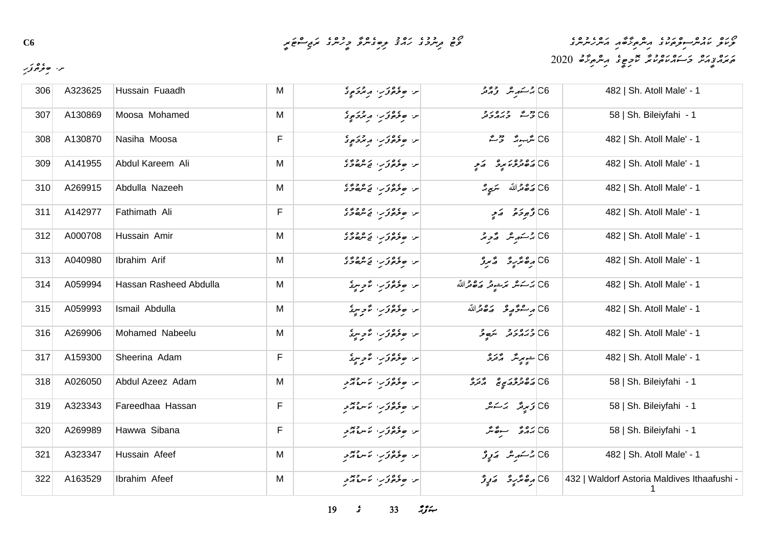*sCw7q7s5w7m< o<n9nOoAw7o< sCq;mAwBoEw7q<m; wBm;vB* م من المرة المرة المرة المرجع المرجع في المركبة 2020<br>مجم*د المريض المربوط المربع المرجع في المراجع المركبة* 

| 306 | A323625 | Hussain Fuaadh         | M           | ىن ھۆھۈك مەمرىكى ئ     | C6 يُرسَمبر على قريمَ قر                       | 482   Sh. Atoll Male' - 1                   |
|-----|---------|------------------------|-------------|------------------------|------------------------------------------------|---------------------------------------------|
| 307 | A130869 | Moosa Mohamed          | M           | ىن ھۆھۈك مەمروكى       | C6 تۇنتە <i>مەدەن</i> د                        | 58   Sh. Bileiyfahi - 1                     |
| 308 | A130870 | Nasiha Moosa           | $\mathsf F$ | ر ە دەۋر، مەدەم        | C6 سُرجہ ترمیح م                               | 482   Sh. Atoll Male' - 1                   |
| 309 | A141955 | Abdul Kareem Ali       | M           | ر موجوب وشعده          | C6 مَەھىرى <i>دىن بو</i> ر ھەمپە               | 482   Sh. Atoll Male' - 1                   |
| 310 | A269915 | Abdulla Nazeeh         | M           | ر موجود به ده دوه      | C6 كەھەراللە س <i>ىرى ب</i>                    | 482   Sh. Atoll Male' - 1                   |
| 311 | A142977 | Fathimath Ali          | $\mathsf F$ | ىن ھۆھۈك ئەسھەدى       | C6 وَّجِوحَةً صَعِ                             | 482   Sh. Atoll Male' - 1                   |
| 312 | A000708 | Hussain Amir           | M           | ر موروب في مدرون       | C6 بڑے ہر شہ م <i>ج</i> و بڑ                   | 482   Sh. Atoll Male' - 1                   |
| 313 | A040980 | Ibrahim Arif           | M           | ر موجوب في مهده دا     | C6 مەھە <i>ترى</i> رى ھەمرى                    | 482   Sh. Atoll Male' - 1                   |
| 314 | A059994 | Hassan Rasheed Abdulla | M           | س ھۆھۋىر، ئاھ بىرىگ    | C6 بَرَسَة مَّدْ مِيْسِيْرَ مِيْرَ صَرْاللَّهُ | 482   Sh. Atoll Male' - 1                   |
| 315 | A059993 | Ismail Abdulla         | M           | ىر. ھۆھۈكە، ئاج مېرىگە | C6 م <i>ې</i> شقۇم <i>ى</i> ھەھقراللە          | 482   Sh. Atoll Male' - 1                   |
| 316 | A269906 | Mohamed Nabeelu        | M           | ىر. ھۆھۈكە، ئاي سىڭ    | C6 <i>322,25 سَهو</i> ءَ                       | 482   Sh. Atoll Male' - 1                   |
| 317 | A159300 | Sheerina Adam          | F           | ىر ھۆھۈر، ئاھ بىرى     | C6 شومرینگر گرفترنگ                            | 482   Sh. Atoll Male' - 1                   |
| 318 | A026050 | Abdul Azeez Adam       | M           | ين ھۆھۈرى، ئاس دىنو    |                                                | 58   Sh. Bileiyfahi - 1                     |
| 319 | A323343 | Fareedhaa Hassan       | $\mathsf F$ | ين ھۆھۈرى، ئاس دىنو    | C6 تۇم <sub>ي</sub> ىر - ئەسەئىر               | 58   Sh. Bileiyfahi - 1                     |
| 320 | A269989 | Hawwa Sibana           | $\mathsf F$ | ىن ھۆھۈرى، ئاسدەم ب    | C6 ئە <i>مۇ</i> سۇنى <i>گە</i>                 | 58   Sh. Bileiyfahi - 1                     |
| 321 | A323347 | Hussain Afeef          | M           | بر ھوگھور ، مأسومبر    | C6 يُرتكبر مَّثَرَ مَرَ مِنْ مَ                | 482   Sh. Atoll Male' - 1                   |
| 322 | A163529 | Ibrahim Afeef          | M           | ىر ھۆھۈر، ئاس مە       | C6 مەھەر ئەرە ھەرپ                             | 432   Waldorf Astoria Maldives Ithaafushi - |

*19 s* 33 *i*<sub>S</sub>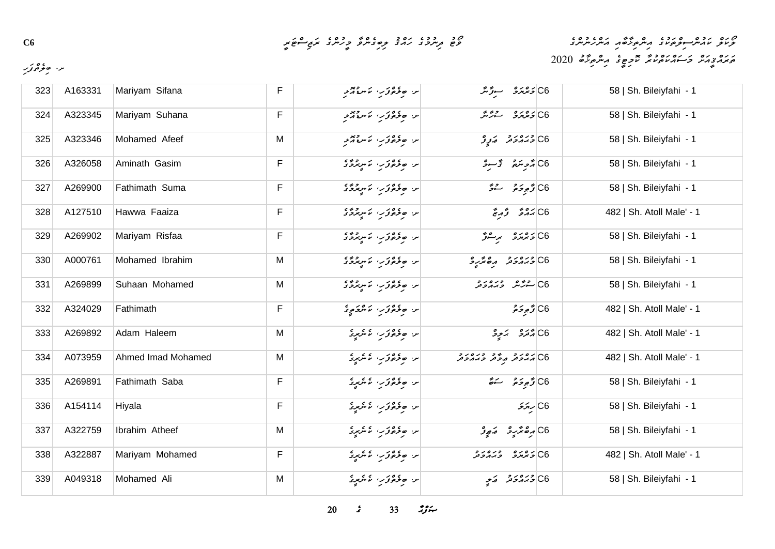*sCw7q7s5w7m< o<n9nOoAw7o< sCq;mAwBoEw7q<m; wBm;vB* م من المرة المرة المرة المرجع المرجع في المركبة 2020<br>مجم*د المريض المربوط المربع المرجع في المراجع المركبة* 

| 323 | A163331 | Mariyam Sifana     | F           | ىر ھۆھۈك ئىس مىر          | C6 <i>كەنگەنگە</i> سو <i>ر</i> ىگە                   | 58   Sh. Bileiyfahi - 1   |
|-----|---------|--------------------|-------------|---------------------------|------------------------------------------------------|---------------------------|
| 324 | A323345 | Mariyam Suhana     | F           | المنا خافره ومن الأساديمو | C6 <i>ۇنى<sub>دى</sub>رو سىرتىگ</i> ە                | 58   Sh. Bileiyfahi - 1   |
| 325 | A323346 | Mohamed Afeef      | M           | ىن ھۆھۈرى، ئاس دىنو       | C6 <i>جەنگە خۇر ھۆ</i> تى                            | 58   Sh. Bileiyfahi - 1   |
| 326 | A326058 | Aminath Gasim      | $\mathsf F$ | ر ەمدەرى، ئاسدوم          | C6 مُجَ سِنَعْرِ لَمَحْ سِنَرْ                       | 58   Sh. Bileiyfahi - 1   |
| 327 | A269900 | Fathimath Suma     | F           | ر ەۋەۋر، ئاس دەر          | C6 <i>وَّجِودَة</i> مَدْدً                           | 58   Sh. Bileiyfahi - 1   |
| 328 | A127510 | Hawwa Faaiza       | $\mathsf F$ | ىر ھۆھۈك ئىبرچە           | C6 يَہْدَىَّ تَ <i>رْمِ</i> حَ                       | 482   Sh. Atoll Male' - 1 |
| 329 | A269902 | Mariyam Risfaa     | F           | ر ھۆھۈپ ئىبرچە            | C6 <i>كەنگەر ئار مې</i> شۇر                          | 58   Sh. Bileiyfahi - 1   |
| 330 | A000761 | Mohamed Ibrahim    | M           | بر موفور، ئىبرودى         | C6  <i>جُهُدُود وهنگرِ</i> دُ                        | 58   Sh. Bileiyfahi - 1   |
| 331 | A269899 | Suhaan Mohamed     | M           | ر ەنگەن، ئاسلام           | C6 جۇھ دىمەدىر                                       | 58   Sh. Bileiyfahi - 1   |
| 332 | A324029 | Fathimath          | F           | ىن ھۆھۈك ئىشخىمى          | C6 رَّم <i>و حَ</i> مَر                              | 482   Sh. Atoll Male' - 1 |
| 333 | A269892 | Adam Haleem        | M           | ىر. ھۆھۈپ، ئائىرىدى       | C6 <i>مُحَرَّدُ بَرْدِ</i> دُ                        | 482   Sh. Atoll Male' - 1 |
| 334 | A073959 | Ahmed Imad Mohamed | M           | بر ھۆھۈپ ئائىرىدى         | C6 ג' ג' ב ב הסגב ב הסביר.<br>C6 ג' ב ב ב הא ב הרב ב | 482   Sh. Atoll Male' - 1 |
| 335 | A269891 | Fathimath Saba     | $\mathsf F$ | ىر. ھۆھۈك ئائىرىدى        | C6 تۇج <sub>و</sub> خۇ سى <i>ڭ</i>                   | 58   Sh. Bileiyfahi - 1   |
| 336 | A154114 | Hiyala             | F           | ىر ھۆھۈپ ئائىرى           | C6 بەيزى <del>م</del>                                | 58   Sh. Bileiyfahi - 1   |
| 337 | A322759 | Ibrahim Atheef     | M           | ىر. ھۆھۈكە، ئانگىرى       | C6 م <i>وڭ ئۇي</i> ۇ ھەمچى 3                         | 58   Sh. Bileiyfahi - 1   |
| 338 | A322887 | Mariyam Mohamed    | $\mathsf F$ | س ھۆھۋىر، ئانترىرى        | C6 كومردو وبرورو                                     | 482   Sh. Atoll Male' - 1 |
| 339 | A049318 | Mohamed Ali        | M           | ىر. ھۆھۈك ئاشپرى          | C6 <i>وُبَهُ دَوَ مَ</i> عٍ                          | 58   Sh. Bileiyfahi - 1   |

 $20$  *s* 33 *n***<sub>s</sub>** $\frac{1}{2}$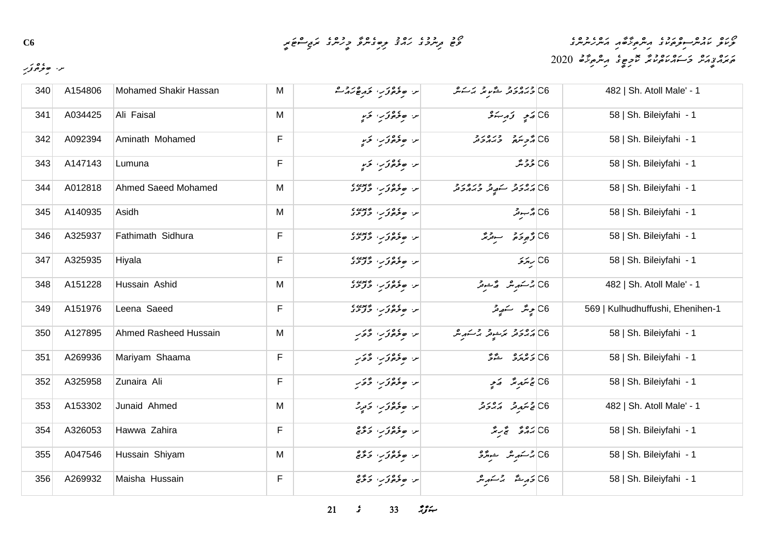*sCw7q7s5w7m< o<n9nOoAw7o< sCq;mAwBoEw7q<m; wBm;vB* م من المرة المرة المرة المرجع المرجع في المركبة 2020<br>مجم*د المريض المربوط المربع المرجع في المراجع المركبة* 

| 340 | A154806 | <b>Mohamed Shakir Hassan</b> | M           | ر ھۆھۈر، خرچ ئە ئە                  | 06 <i>دېروبرو</i> ش <i>گرې</i> تر شکر             | 482   Sh. Atoll Male' - 1        |
|-----|---------|------------------------------|-------------|-------------------------------------|---------------------------------------------------|----------------------------------|
| 341 | A034425 | Ali Faisal                   | M           | ابر ھۆھۇپ ئويۇ                      | C6 <i>ړې وَم</i> بَوَّز                           | 58   Sh. Bileiyfahi - 1          |
| 342 | A092394 | Aminath Mohamed              | F           | س ھۆھۆپ ئۇر                         | C6 مُجِسَعُ حَبَيْدَ حَدِ                         | 58   Sh. Bileiyfahi - 1          |
| 343 | A147143 | Lumuna                       | F           | س ھۆھۆپ ئۇر                         | C6 ترترنگر                                        | 58   Sh. Bileiyfahi - 1          |
| 344 | A012818 | <b>Ahmed Saeed Mohamed</b>   | M           | بر ھۆھۈپ ۋىرى                       | C6 كەبرى تىر ئىس ئەمدىر ئەر ئىس                   | 58   Sh. Bileiyfahi - 1          |
| 345 | A140935 | Asidh                        | M           | من ھۆھۈكەپ گەندى                    | C6 انگسبونتر                                      | 58   Sh. Bileiyfahi - 1          |
| 346 | A325937 | Fathimath Sidhura            | $\mathsf F$ | ىر. ھۆھۈك دۇلالمى                   | C6 رَّەب <sub>ە</sub> ئەھمەت سومتىر ئىگە          | 58   Sh. Bileiyfahi - 1          |
| 347 | A325935 | Hiyala                       | $\mathsf F$ | ىن ھۆھۈك گۆلۈك                      | $55/$ C6                                          | 58   Sh. Bileiyfahi - 1          |
| 348 | A151228 | Hussain Ashid                | M           | من ھۆھۈكى، گەندى                    | C6 يُرْسَمبِ مَثْرِ مُدْ مِنْ مِنْ مِنْ مِنْ      | 482   Sh. Atoll Male' - 1        |
| 349 | A151976 | Leena Saeed                  | $\mathsf F$ | من ھۆھۈكەپ گەندى                    | C6 موسَّر سَمَ <i>وِينَ</i> ر                     | 569   Kulhudhuffushi, Ehenihen-1 |
| 350 | A127895 | Ahmed Rasheed Hussain        | M           | ما ھۆھۈك دەكىر                      | C6 <i>גُرْدُوَ</i> تْر بَرَحْمِتْر بُرْسَمَ مِثْر | 58   Sh. Bileiyfahi - 1          |
| 351 | A269936 | Mariyam Shaama               | $\mathsf F$ | ىن ھۆھۈپ دەپ                        | $52.25$ C6                                        | 58   Sh. Bileiyfahi - 1          |
| 352 | A325958 | Zunaira Ali                  | $\mathsf F$ | س ھۆھۋىر، دەربە                     | C6 يح <i>متمد بنتھ</i> جو بيو                     | 58   Sh. Bileiyfahi - 1          |
| 353 | A153302 | Junaid Ahmed                 | M           | س ھِ ئُوثور کو توپر                 | C6 في سَمدِ قر سَ <sup>2</sup> جر                 | 482   Sh. Atoll Male' - 1        |
| 354 | A326053 | Hawwa Zahira                 | $\mathsf F$ | مر ھۆھۈكە، ئەقرىم                   | C6 ئەممى ئىقى ئىقى ئىس                            | 58   Sh. Bileiyfahi - 1          |
| 355 | A047546 | Hussain Shiyam               | M           | من ھِجُومِ تَحَرُّمُ اللهِ تَحرُّمُ |                                                   | 58   Sh. Bileiyfahi - 1          |
| 356 | A269932 | Maisha Hussain               | F           | ىن ھۆھۇر، ئەقە                      | C6 كومېڭ پر <i>سكوپىر</i>                         | 58   Sh. Bileiyfahi - 1          |

 $21$  *s* 33  $23$   $29$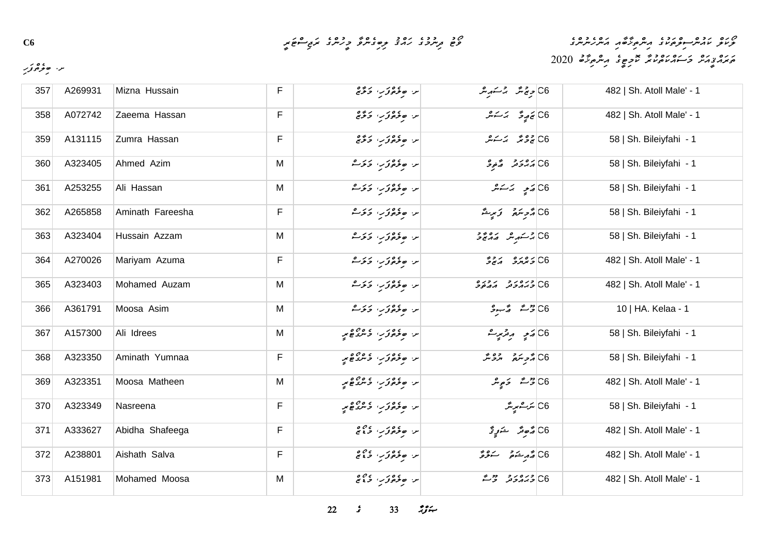*sCw7q7s5w7m< o<n9nOoAw7o< sCq;mAwBoEw7q<m; wBm;vB* م من المرة المرة المرة المرجع المرجع في المركبة 2020<br>مجم*د المريض المربوط المربع المرجع في المراجع المركبة* 

| 357 | A269931 | Mizna Hussain    | F           | ر ھۆھۇپ دۇق       | C6   <i>ویج مگر پر شکور مگ</i> ر      | 482   Sh. Atoll Male' - 1 |
|-----|---------|------------------|-------------|-------------------|---------------------------------------|---------------------------|
| 358 | A072742 | Zaeema Hassan    | F           | ر ھۆھۈپ ئەقرىم    | C6 ئ <sub>ے می</sub> وڈ برے مگر       | 482   Sh. Atoll Male' - 1 |
| 359 | A131115 | Zumra Hassan     | F           | ىن ھۆھۈك كەلگە    | C6 ىچ جىمئە ئەسكەنلە                  | 58   Sh. Bileiyfahi - 1   |
| 360 | A323405 | Ahmed Azim       | M           | ر ھۆھۈپ دۆم       | C6 <i>مُدْدَنْد</i> مُنْ مِوْ         | 58   Sh. Bileiyfahi - 1   |
| 361 | A253255 | Ali Hassan       | M           | ما ھۆھۈك ئەقرىشى  | C6 كەبىي ئەس <i>ە</i> ش               | 58   Sh. Bileiyfahi - 1   |
| 362 | A265858 | Aminath Fareesha | $\mathsf F$ | ىر ھۆھۈپ كەرگ     | C6 مٌوِسَمَةٌ وَمِرِيشٌ               | 58   Sh. Bileiyfahi - 1   |
| 363 | A323404 | Hussain Azzam    | M           | ما ھۆھۈك ئەقرىسى  | C6 يُرْسَمب <sup>9</sup> مَهْدَى مَحْ | 58   Sh. Bileiyfahi - 1   |
| 364 | A270026 | Mariyam Azuma    | $\mathsf F$ | ر ھۆھۈپ دۆپ       | $55.25$ $0.25$ $0.6$                  | 482   Sh. Atoll Male' - 1 |
| 365 | A323403 | Mohamed Auzam    | M           | ما ھۆھۈپ ئەترىشى  | C6 <i>Exact Range</i>                 | 482   Sh. Atoll Male' - 1 |
| 366 | A361791 | Moosa Asim       | M           | ر ەۋەۋپ دۆر       | $3 - 2$ $2$ $3$ $06$                  | 10   HA. Kelaa - 1        |
| 367 | A157300 | Ali Idrees       | M           | ر موجود ، و ۵۵۰ م | C6 ڪ <sub>ي</sub> موشريڪ              | 58   Sh. Bileiyfahi - 1   |
| 368 | A323350 | Aminath Yumnaa   | F           | ر ە ئەرىر، ئەمەم  | C6 مَّ حِبَّمَةٌ مَرْحَسَّ            | 58   Sh. Bileiyfahi - 1   |
| 369 | A323351 | Moosa Matheen    | M           | ر موروب و وړه په  | C6 جي تڪ <i>چي هي</i>                 | 482   Sh. Atoll Male' - 1 |
| 370 | A323349 | Nasreena         | F           | بن ھۆھۈك ئەم      | C6 ىترىشمېرىتتر                       | 58   Sh. Bileiyfahi - 1   |
| 371 | A333627 | Abidha Shafeega  | $\mathsf F$ | ر ھۆھۈپ دەھ       | C6 مُرْحِمَّہ شَوَرِتَّہ              | 482   Sh. Atoll Male' - 1 |
| 372 | A238801 | Aishath Salva    | F           | بر ھوگھور، ووی    | C6 مەم شىر ئىشى ئىشى ئىش              | 482   Sh. Atoll Male' - 1 |
| 373 | A151981 | Mohamed Moosa    | M           | بر ھۆھۈپ دەھ      | C6 <i>جەنگە جەنگە</i> ج               | 482   Sh. Atoll Male' - 1 |

**22** *s* **33** *n***<sub>y</sub> <b>***n* 

مر، ھ*وھ*ور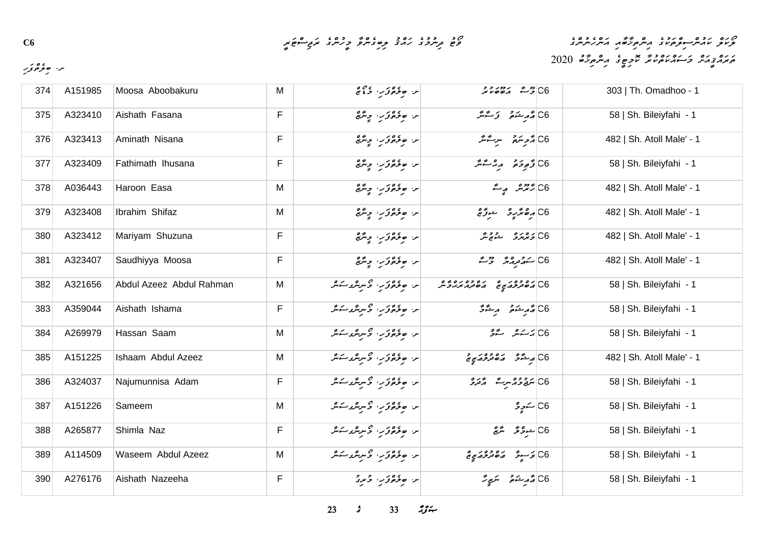*sCw7q7s5w7m< o<n9nOoAw7o< sCq;mAwBoEw7q<m; wBm;vB* م من المرة المرة المرة المرجع المرجع في المركبة 2020<br>مجم*د المريض المربوط المربع المرجع في المراجع المركبة* 

| 374 | A151985 | Moosa Aboobakuru         | M            | بر ھۆھۇب دىمى             | 2222 / 27                                                                                                                                                                                                                                              | 303   Th. Omadhoo - 1     |
|-----|---------|--------------------------|--------------|---------------------------|--------------------------------------------------------------------------------------------------------------------------------------------------------------------------------------------------------------------------------------------------------|---------------------------|
| 375 | A323410 | Aishath Fasana           | F            | س ھۆھۋىر، جەنئى           | C6 قەم شەھر     ترىشىتر                                                                                                                                                                                                                                | 58   Sh. Bileiyfahi - 1   |
| 376 | A323413 | Aminath Nisana           | F            | ىر ھۆھۈكە، جەمئى          | C6 مُ <i>جِسَمُ</i> مِنْ مِسْتَسَرَ                                                                                                                                                                                                                    | 482   Sh. Atoll Male' - 1 |
| 377 | A323409 | Fathimath Ihusana        | $\mathsf{F}$ | ىر. ھۆھۈكە، جەمگە         | C6 ۇ <sub>م</sub> وخۇ مەشقى <i>ت</i> ر                                                                                                                                                                                                                 | 58   Sh. Bileiyfahi - 1   |
| 378 | A036443 | Haroon Easa              | M            | ىر. ھۆھۈكە، جەمگە         | C6 ئەنزىر م <sub>ە</sub> ت                                                                                                                                                                                                                             | 482   Sh. Atoll Male' - 1 |
| 379 | A323408 | Ibrahim Shifaz           | M            | ر ھۆھۈك چىنىڭ             | $c^2$ مِرە ئرَبِرۇ مۇرقى                                                                                                                                                                                                                               | 482   Sh. Atoll Male' - 1 |
| 380 | A323412 | Mariyam Shuzuna          | F            | ىر ھۆھۇر، جەنتى           | C6 <i>كۈچرى ھەمتى تى</i> ر                                                                                                                                                                                                                             | 482   Sh. Atoll Male' - 1 |
| 381 | A323407 | Saudhiyya Moosa          | $\mathsf F$  | ىر. ھۆھۈكە، جەمگە         | $23$ $22$ $-06$                                                                                                                                                                                                                                        | 482   Sh. Atoll Male' - 1 |
| 382 | A321656 | Abdul Azeez Abdul Rahman | M            | ما ھۆھۈكە، كەسىھى سەھ     | C6 <i>בסכסת פי הסכסת הפית</i><br>C6 <i>בספרת המיי</i> ק ביות המייקית                                                                                                                                                                                   | 58   Sh. Bileiyfahi - 1   |
| 383 | A359044 | Aishath Ishama           | F            | ر ھۆۋۈپ ئۇسىدىكە          | C6 مُرمِسَمَّ مِشَرَّ                                                                                                                                                                                                                                  | 58   Sh. Bileiyfahi - 1   |
| 384 | A269979 | Hassan Saam              | M            | ىر. ھۆھۈك ئۇسىگى سەنگە    | C6 ئەسىھ مەمى                                                                                                                                                                                                                                          | 58   Sh. Bileiyfahi - 1   |
| 385 | A151225 | Ishaam Abdul Azeez       | M            | ىر. ھۆكۈكى، كۈسىگى سەش    | C6 مېشتر مەمە <i>دەر ب</i> و                                                                                                                                                                                                                           | 482   Sh. Atoll Male' - 1 |
| 386 | A324037 | Najumunnisa Adam         | $\mathsf F$  | ىر. ھۆكۈكى، كۈسىگى سەش    | C6 يت <sub>ە</sub> م دەرىئە مەمرى                                                                                                                                                                                                                      | 58   Sh. Bileiyfahi - 1   |
| 387 | A151226 | Sameem                   | M            | ىر ھۆۋۈر، كەسىرىكى سەش    | C6 سنوپو<br>م                                                                                                                                                                                                                                          | 58   Sh. Bileiyfahi - 1   |
| 388 | A265877 | Shimla Naz               | $\mathsf F$  | ىر ھۆۋۈر، كەسىرىكى كەش    | C6 شەۋۇ ش <i>ى</i> ج                                                                                                                                                                                                                                   | 58   Sh. Bileiyfahi - 1   |
| 389 | A114509 | Waseem Abdul Azeez       | M            | ىر. ھۆۋۈر، كەبىرىكى سەنگە | $\begin{bmatrix} 6 & 2 & 2 & 3 & 5 \ 6 & 2 & 3 & 5 \end{bmatrix}$ وَ سود الله الله عليه الله عليه الله عليه الله عليه الله عليه الله عليه الله عليه الله عليه الله عليه الله عليه الله عليه الله عليه الله عليه الله عليه الله عليه الله عليه الله علي | 58   Sh. Bileiyfahi - 1   |
| 390 | A276176 | Aishath Nazeeha          | F            | ىر. ھۆھۈك ئەمرى           | C6 مەم ئىشقى ئىستى <i> ئى</i>                                                                                                                                                                                                                          | 58   Sh. Bileiyfahi - 1   |

**23** *s* **33** *n***<sub>y</sub> <b>***n*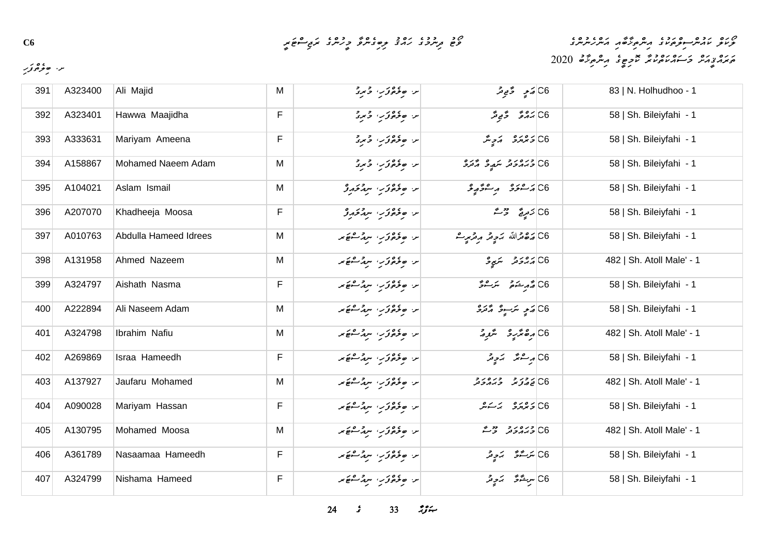*sCw7q7s5w7m< o<n9nOoAw7o< sCq;mAwBoEw7q<m; wBm;vB* م من المرة المرة المرة المرجع المرجع في المركبة 2020<br>مجم*د المريض المربوط المربع المرجع في المراجع المركبة* 

| 391 | A323400 | Ali Majid             | M           | الرا ھِ تَوْجُو تَرَ الْمَحْمَدِينَ | C6 <i>ڇُوِ وُوئ</i> ر                                                                                | 83   N. Holhudhoo - 1     |
|-----|---------|-----------------------|-------------|-------------------------------------|------------------------------------------------------------------------------------------------------|---------------------------|
| 392 | A323401 | Hawwa Maajidha        | F           | ین ھِوُھُوَبِ وَمِرِدْ              | C6 يَہُمَّ وَّمِعَّ                                                                                  | 58   Sh. Bileiyfahi - 1   |
| 393 | A333631 | Mariyam Ameena        | $\mathsf F$ | ما ھِوَجُوتِرِ، وَمِرِدْ            | C6 <i>كەبىرى مۇ</i> پەتتر                                                                            | 58   Sh. Bileiyfahi - 1   |
| 394 | A158867 | Mohamed Naeem Adam    | M           | بر ھۆھۈپ دىرد                       | C6 <i>בُہُدونر سَمِي</i> وْ مُعَرَّد                                                                 | 58   Sh. Bileiyfahi - 1   |
| 395 | A104021 | Aslam Ismail          | M           | ر ەتكۈن، سەتكە                      | C6 كەشكى ھەرسىمى ئەرىپىتىش بىر ئىنى ئاراسىيە ئاراسىيە ئاراسىيە ئاراسىيە ئاراسىيە ئاراسىيە ئاراسىيە ئ | 58   Sh. Bileiyfahi - 1   |
| 396 | A207070 | Khadheeja Moosa       | $\mathsf F$ | ر ەۋەۋر، سەئەر                      | C6 كَتَعْرِيجٌ مَتَحْتَ الْمُسَمَّدُ                                                                 | 58   Sh. Bileiyfahi - 1   |
| 397 | A010763 | Abdulla Hameed Idrees | M           | ر موجود سر موسيح مد                 | C6 كەھەراللە ئەدەر مەمرىيەت                                                                          | 58   Sh. Bileiyfahi - 1   |
| 398 | A131958 | Ahmed Nazeem          | M           | ىن ھۆھۈك، سرد شقىم                  | C6   كەش <sup>ى</sup> كىرىمى ئىس كىلىپ ئى                                                            | 482   Sh. Atoll Male' - 1 |
| 399 | A324797 | Aishath Nasma         | $\mathsf F$ | ر موجود سر موسيح                    | C6 مەم ئىقىم سىرسىمىتى ئىس                                                                           | 58   Sh. Bileiyfahi - 1   |
| 400 | A222894 | Ali Naseem Adam       | M           | ر موجود، سر موضع                    | C6  رَمِ سَرَسِوْ ارْتَرَوْ                                                                          | 58   Sh. Bileiyfahi - 1   |
| 401 | A324798 | Ibrahim Nafiu         | M           | ىن ھۆھۈك سەر شىھىم                  | C6 مەھە <i>تگەي</i> ھىلىمى قىلىنى ئى                                                                 | 482   Sh. Atoll Male' - 1 |
| 402 | A269869 | Israa Hameedh         | F           | المن محوفوقر المسترام المعالج من    | C6 مرشقت تمویتر                                                                                      | 58   Sh. Bileiyfahi - 1   |
| 403 | A137927 | Jaufaru Mohamed       | M           | المن محموقوب المرحم المقابل         | $55025 - 5502$ C6                                                                                    | 482   Sh. Atoll Male' - 1 |
| 404 | A090028 | Mariyam Hassan        | F           | ىن ھۆھۈك سەر شىھىم                  | C6 كەممەر ئەسكەنگە                                                                                   | 58   Sh. Bileiyfahi - 1   |
| 405 | A130795 | Mohamed Moosa         | M           | المن محموقوب المركز مقصر            | C6  <i>دبروبر</i> وصم                                                                                | 482   Sh. Atoll Male' - 1 |
| 406 | A361789 | Nasaamaa Hameedh      | $\mathsf F$ | ىن ھۆھۈك سەر شىھىم                  | C6  سَرَسْتَرَقَ    بَرَوِيْرَ                                                                       | 58   Sh. Bileiyfahi - 1   |
| 407 | A324799 | Nishama Hameed        | F           | المن ھۆھۈك، سرم مىقىم               | C6 سرڪ <i>جي جي</i>                                                                                  | 58   Sh. Bileiyfahi - 1   |

**24** *s* 33 *n***<sub>s</sub>**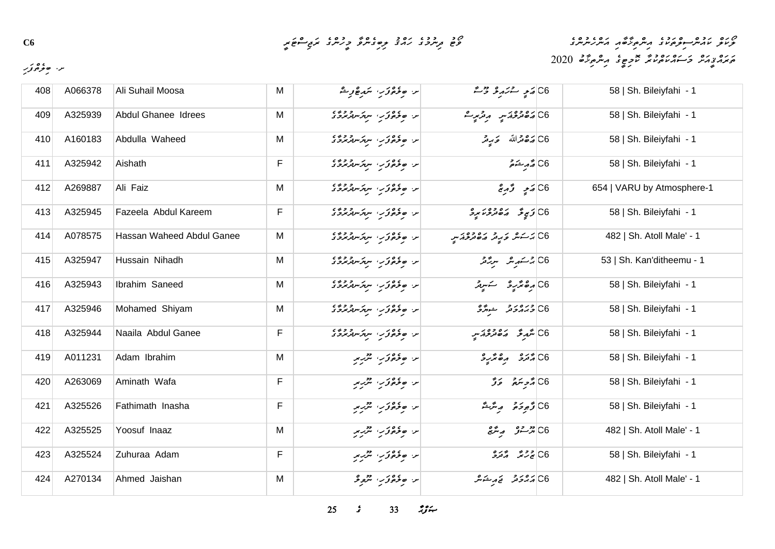*sCw7q7s5w7m< o<n9nOoAw7o< sCq;mAwBoEw7q<m; wBm;vB* م من المرة المرة المرة المرجع المرجع في المركبة 2020<br>مجم*د المريض المربوط المربع المرجع في المراجع المركبة* 

| 408 | A066378 | Ali Suhail Moosa          | M | الرا ھۆكۈك ئىرگۈرگ           | C6 كەبو سە <i>نتەب</i> ۇ بۇس <sup>ى</sup>                                                                 | 58   Sh. Bileiyfahi - 1    |
|-----|---------|---------------------------|---|------------------------------|-----------------------------------------------------------------------------------------------------------|----------------------------|
| 409 | A325939 | Abdul Ghanee Idrees       | M | من ھۆھۈك سرگر سرگر مردى      | $C6$ كەھ قىرى كەنتىر بىر بىر بىرىك                                                                        | 58   Sh. Bileiyfahi - 1    |
| 410 | A160183 | Abdulla Waheed            | M | ر ەۋەۋب سەكسىرىدى            | C6 كەھەراللە     كەبەتر                                                                                   | 58   Sh. Bileiyfahi - 1    |
| 411 | A325942 | Aishath                   | F | ىر. ھۆھۈك سەكسىرىرى          | C6 مۇمەينىمۇ                                                                                              | 58   Sh. Bileiyfahi - 1    |
| 412 | A269887 | Ali Faiz                  | M | المستوفوق المتمسين والمعالجة | C6 كەي تۇرىج                                                                                              | 654   VARU by Atmosphere-1 |
| 413 | A325945 | Fazeela Abdul Kareem      | F | ر ھۆھۈك سەكسەر دەر           | C6 ئۇيۇ ھەمز <i>ىرىتى</i> رۇ                                                                              | 58   Sh. Bileiyfahi - 1    |
| 414 | A078575 | Hassan Waheed Abdul Ganee | M | ر ھۆھۈپ سرگسورىدى            | C6 كەسەنگە ئ <i>ويەتى مەھەرۋەكە</i> يد                                                                    | 482   Sh. Atoll Male' - 1  |
| 415 | A325947 | Hussain Nihadh            | M | ر ەۋەۋب سەكسىرىدى            | C6 يُرْسَمَ مِيلاً مِيلاً مِيلاً مِيلاً مِيلاً مِيلاً مِيلاً مِيلاً مِيلاً مِيلاً مِيلاً مِيلاً مِي<br>ما | 53   Sh. Kan'ditheemu - 1  |
| 416 | A325943 | Ibrahim Saneed            | M | ر موقوف سرکسرد ده            |                                                                                                           | 58   Sh. Bileiyfahi - 1    |
| 417 | A325946 | Mohamed Shiyam            | M | ر ەۋەۋب سەكسىرىدى            | $66 - 2222$                                                                                               | 58   Sh. Bileiyfahi - 1    |
| 418 | A325944 | Naaila Abdul Ganee        | F | ر ەۋەۋب سەسىرىدى             | C6 مثمر قر مەھ <i>قرى قەرىپ</i> ر                                                                         | 58   Sh. Bileiyfahi - 1    |
| 419 | A011231 | Adam Ibrahim              | M | ابر ھۆھۈكە، تركىبە           | C6 مُتَعَرَّدُ مُتَصَمَّرِيْتَ                                                                            | 58   Sh. Bileiyfahi - 1    |
| 420 | A263069 | Aminath Wafa              | F | ىر ھۆھۈك ئورىر               | C6 مُجِسَع <sub>ة حَ</sub> وَّ                                                                            | 58   Sh. Bileiyfahi - 1    |
| 421 | A325526 | Fathimath Inasha          | F | اللا ھۆھۈك ئىشىر             | C6 تۇموخۇ مەمى <sup>ت</sup> ىش                                                                            | 58   Sh. Bileiyfahi - 1    |
| 422 | A325525 | Yoosuf Inaaz              | M | ىر ھۆھۈك ئورىر               | C6 تېر يې په مرتبع                                                                                        | 482   Sh. Atoll Male' - 1  |
| 423 | A325524 | Zuhuraa Adam              | F | س ھۆھۈرى تىرىر               | C6 يحر <sup>م</sup> د مجموع                                                                               | 58   Sh. Bileiyfahi - 1    |
| 424 | A270134 | Ahmed Jaishan             | M | ابر ھۆھۈر، متفوقه            | C6 كەبرى <i>كى قىرىشكى</i> ر                                                                              | 482   Sh. Atoll Male' - 1  |

 $25$  *s* 33 *n***<sub>y</sub>** *n***<sub>y</sub>**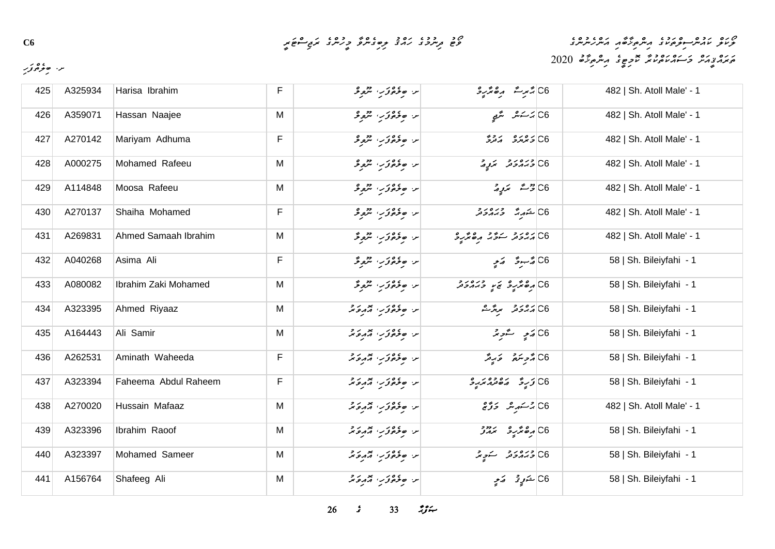*sCw7q7s5w7m< o<n9nOoAw7o< sCq;mAwBoEw7q<m; wBm;vB* م من المرة المرة المرة المرجع المرجع في المركبة 2020<br>مجم*د المريض المربوط المربع المرجع في المراجع المركبة* 

| 425 | A325934 | Harisa Ibrahim       | F           | ىر ھۆھۈك شھوڭ    | C6 ئەبرىس مەھرىپ <sup>ى</sup>                                              | 482   Sh. Atoll Male' - 1 |
|-----|---------|----------------------|-------------|------------------|----------------------------------------------------------------------------|---------------------------|
| 426 | A359071 | Hassan Naajee        | M           | ىر ھۆھۈپ شھوڭ    | C6 ئەسەمىشە ئى <i>تى</i> ر                                                 | 482   Sh. Atoll Male' - 1 |
| 427 | A270142 | Mariyam Adhuma       | F           | ىر ھۆھۈك شھوڭ    | C6 كەيمەر 2 مەنزى                                                          | 482   Sh. Atoll Male' - 1 |
| 428 | A000275 | Mohamed Rafeeu       | M           | ىر ھۆھۈپ شھوڭ    | C6  <i>وبروبرو بزوٍ</i> چ                                                  | 482   Sh. Atoll Male' - 1 |
| 429 | A114848 | Moosa Rafeeu         | M           | ىر ھۆھۈپ شھوڭ    | C6 تۆمىقە ئى <i>زى</i> قە                                                  | 482   Sh. Atoll Male' - 1 |
| 430 | A270137 | Shaiha Mohamed       | F           | ىر ھۆھۈك شھوڭ    | C6 خىم يەر ئەيدى ئىس                                                       | 482   Sh. Atoll Male' - 1 |
| 431 | A269831 | Ahmed Samaah Ibrahim | M           | ىر ھۆھۈپ شھوڭ    | C6   ئەيھۇر ئىسى ئەھمەر ئىلىرى ئىسى ئىلىرى ئىلىرى ئىلىرى ئىلىرى ئىلىرى ئىل | 482   Sh. Atoll Male' - 1 |
| 432 | A040268 | Asima Ali            | F           | ىر ھۆھۈپ شھوڭ    | C6 م <sup>ح</sup> سبرقت م <i>ح</i> مير                                     | 58   Sh. Bileiyfahi - 1   |
| 433 | A080082 | Ibrahim Zaki Mohamed | M           | ىر ھۆھۈپ شھوڭ    | C6 גַפּּאנֶצ <sub>אַ</sub> צְיְהַלִּ                                       | 58   Sh. Bileiyfahi - 1   |
| 434 | A323395 | Ahmed Riyaaz         | M           | ر ەۋەۋر، مەدەم   | C6 كەبرى ئىس بىر ئىستىر بىر                                                | 58   Sh. Bileiyfahi - 1   |
| 435 | A164443 | Ali Samir            | M           | ىن ھۆھۈك ئەمرىكە | C6 کړې گولوگر                                                              | 58   Sh. Bileiyfahi - 1   |
| 436 | A262531 | Aminath Waheeda      | F           | ىن ھۆھۈك ئەمرىكە | C6 مُرْحِسَمُ وَسِقَّہُ                                                    | 58   Sh. Bileiyfahi - 1   |
| 437 | A323394 | Faheema Abdul Raheem | $\mathsf F$ | ىر ھۆھۈپ تەرەپر  | C6 زَرِدُّ مُصْرُمْ مَرْرِدْ                                               | 58   Sh. Bileiyfahi - 1   |
| 438 | A270020 | Hussain Mafaaz       | M           | ىر ھۆھۈك ئەرەلگە | C6 ير سَمبر شرح وَتَرَ ح                                                   | 482   Sh. Atoll Male' - 1 |
| 439 | A323396 | Ibrahim Raoof        | M           | ىن ھۆھۈك ئەمەكە  | C6 مەھەمگەيى ئەمدىرى<br>مەم                                                | 58   Sh. Bileiyfahi - 1   |
| 440 | A323397 | Mohamed Sameer       | M           | ىن ھۆھۈك ئەمرىكە | C6 <i>ۋىزۇدۇ سەمبەت</i> ر                                                  | 58   Sh. Bileiyfahi - 1   |
| 441 | A156764 | Shafeeg Ali          | M           | ىن ھۆھۈك ئەمرىكە | C6 ڪ <i>ُوپِ ڏُھُ جُ</i>                                                   | 58   Sh. Bileiyfahi - 1   |

 $26$  *s* 33 *n***<sub>y</sub>**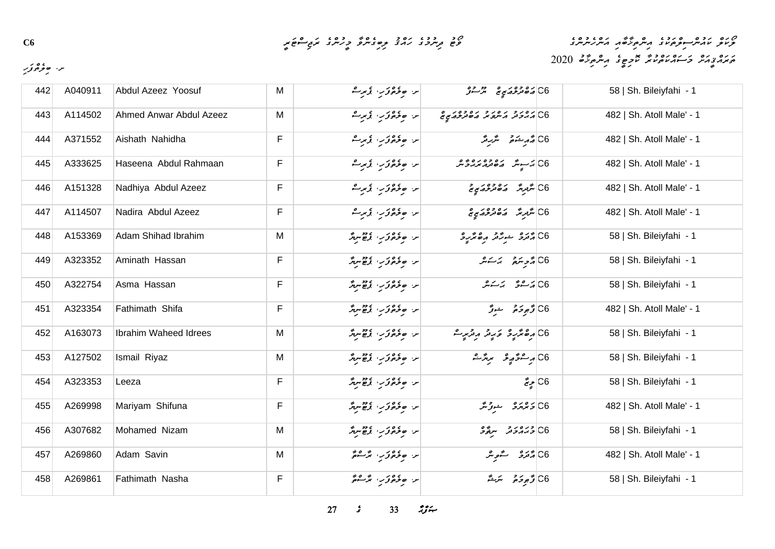*sCw7q7s5w7m< o<n9nOoAw7o< sCq;mAwBoEw7q<m; wBm;vB* م من المرة المرة المرة المرجع المرجع في المركبة 2020<br>مجم*د المريض المربوط المربع المرجع في المراجع المركبة* 

| 442 | A040911 | Abdul Azeez Yoosuf             | M | ىر. ھۆھۋىر، بۇيرىشە        | C6 <i>בەدۋە يوغ دو</i> ر دو                           | 58   Sh. Bileiyfahi - 1   |
|-----|---------|--------------------------------|---|----------------------------|-------------------------------------------------------|---------------------------|
| 443 | A114502 | <b>Ahmed Anwar Abdul Azeez</b> | M | ما ھِوَهُوَبْ بِوَمِرْتْ   | C6 גם גם גם גם גם כפר גם                              | 482   Sh. Atoll Male' - 1 |
| 444 | A371552 | Aishath Nahidha                | F | ر ھۆھۈپ بىرگ               | C6 مەم ئىشقى ئىش <i>رى</i> تىگە                       | 482   Sh. Atoll Male' - 1 |
| 445 | A333625 | Haseena Abdul Rahmaan          | F | ىن ھۆھۈك بۇيرىش            | C6 ئەسىس مەھىرمىدىگە                                  | 482   Sh. Atoll Male' - 1 |
| 446 | A151328 | Nadhiya Abdul Azeez            | F | الرا ھۆھۈپ كى بىر          | C6 شرير مەھىر <i>ھەرىمى</i>                           | 482   Sh. Atoll Male' - 1 |
| 447 | A114507 | Nadira Abdul Azeez             | F | س ھِوَهُوَرٍ، وَمِرِتْ     | C6 ئىبرى <i>گە مەھەر دە يى</i>                        | 482   Sh. Atoll Male' - 1 |
| 448 | A153369 | Adam Shihad Ibrahim            | M | الله ھۆھۈك بىلىگى ئىل      | C6 <i>مُقَرَّدٌ فَرَقَّةً مِ</i> رْهُ <i>مُ</i> رِدَّ | 58   Sh. Bileiyfahi - 1   |
| 449 | A323352 | Aminath Hassan                 | F | ر ھۆھۈپ دەملە              | C6 مٌح <i>وِ مَتمعٌ مَ</i> سَنَسْر                    | 58   Sh. Bileiyfahi - 1   |
| 450 | A322754 | Asma Hassan                    | F | ىر ھۆھۈك ئۇھ س             | C6 كەشق ئەس <i>تەنگ</i> ە                             | 58   Sh. Bileiyfahi - 1   |
| 451 | A323354 | Fathimath Shifa                | F | المستوفق والمتحفظ المعالمة | C6 <i>وَّجِودَة</i> مُسِوَّرَ                         | 482   Sh. Atoll Male' - 1 |
| 452 | A163073 | Ibrahim Waheed Idrees          | M | الرا ھۆھۈك ئۇھ سرگە        | C6 مەھ ئۇر ئۇ ئەيەئىر مەمۇرىيەت.                      | 58   Sh. Bileiyfahi - 1   |
| 453 | A127502 | Ismail Riyaz                   | M | الرا ھۆھۈكرا ، ئۇھ سرىگ    | C6 م <i>ې</i> شتۇم پولىر مېرىگىنىد                    | 58   Sh. Bileiyfahi - 1   |
| 454 | A323353 | Leeza                          | F | ىر ھۆھۈك بۇھىرىگە          | C6 م <sub>ح</sub> برً                                 | 58   Sh. Bileiyfahi - 1   |
| 455 | A269998 | Mariyam Shifuna                | F | الله ھۆھۈكى، بىقىسىد       | C6 <i>ۇيۇرۇ ھورىگ</i> ر                               | 482   Sh. Atoll Male' - 1 |
| 456 | A307682 | Mohamed Nizam                  | M | الرا ھۆھۈكرا كى ھاسىد      | C6 3222 سرچھ                                          | 58   Sh. Bileiyfahi - 1   |
| 457 | A269860 | Adam Savin                     | M | ىر. ھۆھۈك ئەسىم            | C6 مُرْتَعَرَ مُسْتَعَمِّ مِسْر                       | 482   Sh. Atoll Male' - 1 |
| 458 | A269861 | Fathimath Nasha                | F | ىن ھۆھۈر، ئۇسىم            | C6 <i>وَّجِودَة</i> مَرَسَّة                          | 58   Sh. Bileiyfahi - 1   |

*27 sC 33 nNw?mS*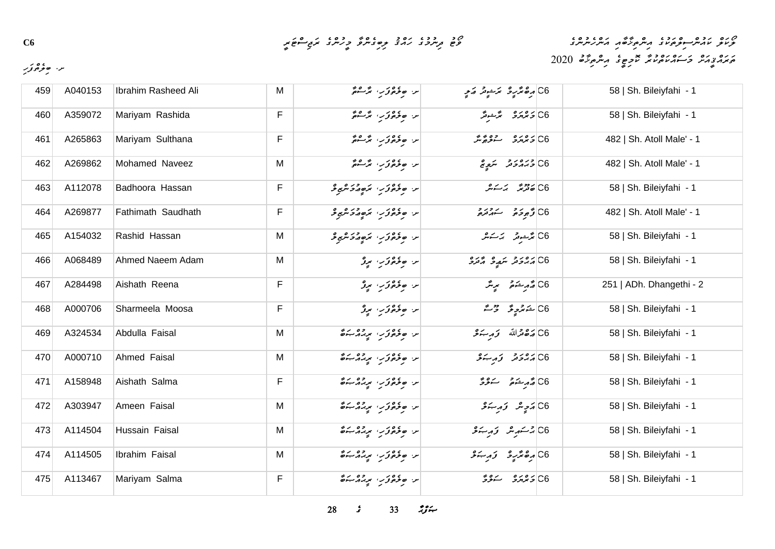*sCw7q7s5w7m< o<n9nOoAw7o< sCq;mAwBoEw7q<m; wBm;vB* م من المرة المرة المرة المرجع المرجع في المركبة 2020<br>مجم*د المريض المربوط المربع المرجع في المراجع المركبة* 

| 459 | A040153 | Ibrahim Rasheed Ali | M            | مر ھۆھۈرى، ئۆگ ھۇ           | C6 مەھەرىپ ئىلىنى قىرىدىن كەرىپە           | 58   Sh. Bileiyfahi - 1   |
|-----|---------|---------------------|--------------|-----------------------------|--------------------------------------------|---------------------------|
| 460 | A359072 | Mariyam Rashida     | F            | بر ھۆھۈپ ئۇسىم              | C6 كەممە <i>ر ئىگى</i> سىدىگە              | 58   Sh. Bileiyfahi - 1   |
| 461 | A265863 | Mariyam Sulthana    | F            | ىن ھۆھۈك ئۇسىم              | C6 <i>ۇيۇرۇ سۇچۇنى</i> گە                  | 482   Sh. Atoll Male' - 1 |
| 462 | A269862 | Mohamed Naveez      | M            | ىن ھۆھۈك ئەسىم              | C6 <i>2522 متوج</i>                        | 482   Sh. Atoll Male' - 1 |
| 463 | A112078 | Badhoora Hassan     | F            | ر موجوز بر مورد شهر         | C6 ھۆپتى ئەسەئىتىر                         | 58   Sh. Bileiyfahi - 1   |
| 464 | A269877 | Fathimath Saudhath  | $\mathsf F$  | ر موکور، ترموز کرد کو       | C6 تۇ <sub>جو</sub> خ <sub>ە</sub> سەمدىرە | 482   Sh. Atoll Male' - 1 |
| 465 | A154032 | Rashid Hassan       | M            | ر موقور، ترموز مربوث        | C6 بَرْجُوتْر - بَرْسَة مْرْ               | 58   Sh. Bileiyfahi - 1   |
| 466 | A068489 | Ahmed Naeem Adam    | M            | ىن ھۆھۈك بول                | C6 <i>ב برو بر عمد و مح</i> ره             | 58   Sh. Bileiyfahi - 1   |
| 467 | A284498 | Aishath Reena       | $\mathsf{F}$ | س ھۆھۆپ بېرى                | C6 مەم شەھ مېرى <i>گ</i>                   | 251   ADh. Dhangethi - 2  |
| 468 | A000706 | Sharmeela Moosa     | F            | یں جو گھوڑے ہوں             | C6 خىمرى <sub>چ</sub> ى تۆگ                | 58   Sh. Bileiyfahi - 1   |
| 469 | A324534 | Abdulla Faisal      | M            | المن حوفوقرب المجدد والمركز | C6 مَەھْتَراللە ق <i>ەمبەق</i>             | 58   Sh. Bileiyfahi - 1   |
| 470 | A000710 | Ahmed Faisal        | M            | ر ەۋەۋر، بورۇم ئەڭ          | C6   كەش <sup>ى</sup> كەر ئەر بىكى ئى      | 58   Sh. Bileiyfahi - 1   |
| 471 | A158948 | Aishath Salma       | $\mathsf F$  | ر ە دەر، بوردىن             | C6 مەم ئىشقى سىك <i>ىۋۇ</i>                | 58   Sh. Bileiyfahi - 1   |
| 472 | A303947 | Ameen Faisal        | M            | ر موروب برده بده            | C6 كەچ بىر كەرىبكى ئىل                     | 58   Sh. Bileiyfahi - 1   |
| 473 | A114504 | Hussain Faisal      | M            | ر ە ئەرزىر، بورومىدە        | C6 يُرْسَمُ بِيَرَ وَمِرْسَوْرٌ            | 58   Sh. Bileiyfahi - 1   |
| 474 | A114505 | Ibrahim Faisal      | M            | ر موروب برده به             | C6 مەھەرىپە تەم يىكى                       | 58   Sh. Bileiyfahi - 1   |
| 475 | A113467 | Mariyam Salma       | F            | ىن ھۆھۈك، مديرە ب           | C6 كەمە <i>مەدى سەۋ</i> ۇ                  | 58   Sh. Bileiyfahi - 1   |

**28** *s* **33** *n***<sub>y</sub> <b>***n* 

مر، ھ*وھ*ور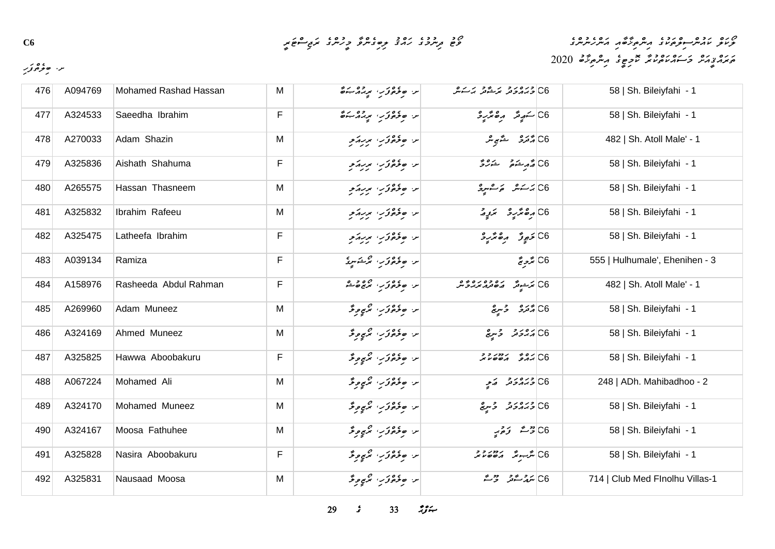*sCw7q7s5w7m< o<n9nOoAw7o< sCq;mAwBoEw7q<m; wBm;vB 2020*<br>*په پوهر وسوډيرونو لومو د موجو د مرمونه* 2020

| 476 | A094769 | Mohamed Rashad Hassan | M            | ر ەۋەۋر، بورومىدە              | C6  <i>32,325 كەشگەر بەسكەنل</i>                   | 58   Sh. Bileiyfahi - 1         |
|-----|---------|-----------------------|--------------|--------------------------------|----------------------------------------------------|---------------------------------|
| 477 | A324533 | Saeedha Ibrahim       | F            | ىن ھۆھۈپ، بورومىت              | C6 س <i>َم<sub>وٍ</sub>مَّڌ م</i> ِنْ صَمَّرِيْتَر | 58   Sh. Bileiyfahi - 1         |
| 478 | A270033 | Adam Shazin           | M            | ىن ھۆھۈك برىدۇر                | C6 مُرْمَرْدْ شَمِيرْ مِنْ                         | 482   Sh. Atoll Male' - 1       |
| 479 | A325836 | Aishath Shahuma       | F            | ىن ھۆھۈك برىدۇر                | C6 م <i>ەمبىقى خەرج</i>                            | 58   Sh. Bileiyfahi - 1         |
| 480 | A265575 | Hassan Thasneem       | M            | ر و دورس بررد و                | C6 ئەسەنلەر <b>ئەرشىر</b> ى                        | 58   Sh. Bileiyfahi - 1         |
| 481 | A325832 | Ibrahim Rafeeu        | M            | بن ھِ تَھُوَرُ، مِرْ مِرَ مِنْ | C6 مەھە <i>تگىي</i> ئىمرىمى ئى                     | 58   Sh. Bileiyfahi - 1         |
| 482 | A325475 | Latheefa Ibrahim      | F            | ىن ھۆھۈك برىدۇر                | C6 كۇم <sub>ۇ</sub> رَ م <i>ەمگرى</i> ئ            | 58   Sh. Bileiyfahi - 1         |
| 483 | A039134 | Ramiza                | $\mathsf{F}$ | ر ھۆھۈك ئىشكىرى                | C6 بَرْر بَح                                       | 555   Hulhumale', Ehenihen - 3  |
| 484 | A158976 | Rasheeda Abdul Rahman | F            | بن ھۆھۈك مەھ ھ                 | C6 ىرىشونز ھەممەمەر دەرە                           | 482   Sh. Atoll Male' - 1       |
| 485 | A269960 | Adam Muneez           | M            | ىن ھۆھۈر، ئۇي ھۆ               | C6 أَرْتَرَدُّ       دَسِيْنَ                      | 58   Sh. Bileiyfahi - 1         |
| 486 | A324169 | Ahmed Muneez          | M            | ىر. ھۆھۈر، ئۇي ھۆ              | C6   كەنگە كەلگە ئەرىپى                            | 58   Sh. Bileiyfahi - 1         |
| 487 | A325825 | Hawwa Aboobakuru      | F            | ىر. ھۆھۈك ئۇي ھۆ               | 22222 202                                          | 58   Sh. Bileiyfahi - 1         |
| 488 | A067224 | Mohamed Ali           | M            | ىن ھۆھۈر، ئىي ھۆ               | C6 <i>جەنگە خۇر ھ</i> و                            | 248   ADh. Mahibadhoo - 2       |
| 489 | A324170 | Mohamed Muneez        | M            | ىر. ھۆھۈكە، ئۇي ھۆ             | C6 <i>3222 كەرمى</i>                               | 58   Sh. Bileiyfahi - 1         |
| 490 | A324167 | Moosa Fathuhee        | M            | ىر. ھۆھۈكر، ئۇي ھۆ             | C6 تۇشقە ئۇچ <sub>ە</sub> بە                       | 58   Sh. Bileiyfahi - 1         |
| 491 | A325828 | Nasira Aboobakuru     | F            | ىن ھۆھۈر، ئۇي ھۆ               | $2222$ $-200$                                      | 58   Sh. Bileiyfahi - 1         |
| 492 | A325831 | Nausaad Moosa         | M            | ىر. ھۆھۈك ئىچ ھۆ               | C6 يَدْرُ شَعْرَ بِهِ مَشْرِ                       | 714   Club Med Flnolhu Villas-1 |

**29** *s* 33 *n***<sub>s</sub>**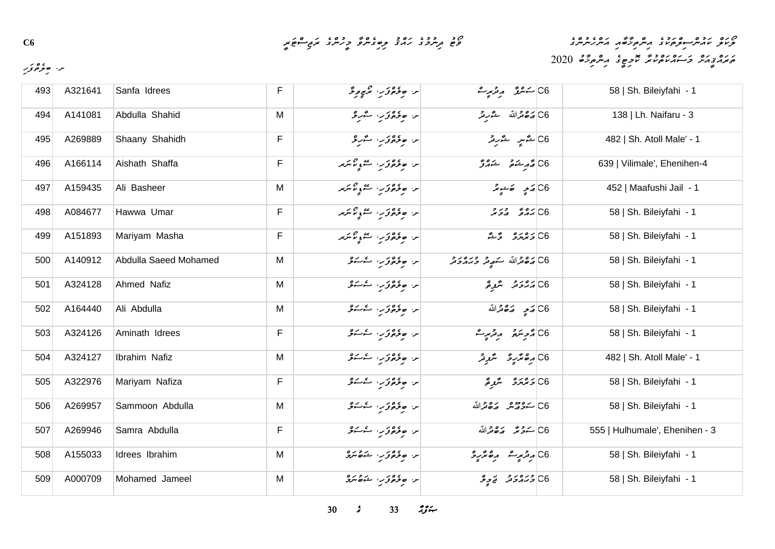*sCw7q7s5w7m< o<n9nOoAw7o< sCq;mAwBoEw7q<m; wBm;vB 2020*<br>*په پوهر وسوډيرونو لومو د موجو د مرمونه* 2020

| 493 | A321641 | Sanfa Idrees          | F           | ىر ھۆھۈر، ئۇي ھۆ     | C6 سەھدۇ ب <sub>و</sub> رتمېرىشە             | 58   Sh. Bileiyfahi - 1        |
|-----|---------|-----------------------|-------------|----------------------|----------------------------------------------|--------------------------------|
| 494 | A141081 | Abdulla Shahid        | M           | ىر ھۆھۈپ سەرىۋ       | C6 مَەھْرَاللە شَّەرِمْر                     | 138   Lh. Naifaru - 3          |
| 495 | A269889 | Shaany Shahidh        | F           | ىر ھۆھۈپ شرىق        | C6 گھر گھرنڈ                                 | 482   Sh. Atoll Male' - 1      |
| 496 | A166114 | Aishath Shaffa        | $\mathsf F$ | ىن ھۆھۈر، سەيدىكىتىر | C6 مەم ئىقسى ئىستى <i>رۇ</i>                 | 639   Vilimale', Ehenihen-4    |
| 497 | A159435 | Ali Basheer           | M           | ابر ھۆھۈر، سكوناتىر  | C6 كەمچە ھە <u>ش</u> و <i>م</i> گە           | 452   Maafushi Jail - 1        |
| 498 | A084677 | Hawwa Umar            | F           | ىر. ھۆھۈك شوپرىتىر   | 222 222                                      | 58   Sh. Bileiyfahi - 1        |
| 499 | A151893 | Mariyam Masha         | F           | ىن ھۆھۈر، سەيدىكىتىر | C6 كەممەر ئەسىم                              | 58   Sh. Bileiyfahi - 1        |
| 500 | A140912 | Abdulla Saeed Mohamed | M           | بر ھۆھۈپ سىسكى       | C6 رەداللە سەر <i>دىنەدەر</i> د              | 58   Sh. Bileiyfahi - 1        |
| 501 | A324128 | Ahmed Nafiz           | M           | ىن ھۆھۈپ سىسكى       | C6 <i>كەندى تىر ئىتىنى</i> ئى                | 58   Sh. Bileiyfahi - 1        |
| 502 | A164440 | Ali Abdulla           | M           | ىن ھۆھۈك سىگىگى      | C6 كەمچە كەھەمەللە                           | 58   Sh. Bileiyfahi - 1        |
| 503 | A324126 | Aminath Idrees        | F           | ىن ھۆھۈك سىگىگى      |                                              | 58   Sh. Bileiyfahi - 1        |
| 504 | A324127 | Ibrahim Nafiz         | M           | ىن ھۆھۈك سىگىگى      | C6 مەھەردى سىرىقر                            | 482   Sh. Atoll Male' - 1      |
| 505 | A322976 | Mariyam Nafiza        | F           | ىر ھۆۋۈپ سىسكى       | C6 <i>خىتىدۇ شې</i> ق                        | 58   Sh. Bileiyfahi - 1        |
| 506 | A269957 | Sammoon Abdulla       | M           | ىن ھۆھۈك سىگىگى      | C6 يَوْمِيْرُ مَرْهُ قَرَاللَّهُ             | 58   Sh. Bileiyfahi - 1        |
| 507 | A269946 | Samra Abdulla         | F           | ىن ھۆھۈك سىگىگى      | C6 كوتر برة قرالله                           | 555   Hulhumale', Ehenihen - 3 |
| 508 | A155033 | Idrees Ibrahim        | M           | ىن ھۆھۈك شەھىرو      | C6 مەنزىرىشە مەھەردى<br>06 مەنزىرىشە مەھەردى | 58   Sh. Bileiyfahi - 1        |
| 509 | A000709 | Mohamed Jameel        | M           | ىن ھۆھۈك شەھىرو      | C6  <i>3223, 52 ق</i> و                      | 58   Sh. Bileiyfahi - 1        |

**30** *s* **33** *n***<sub>y</sub><sub>***s***</sub>**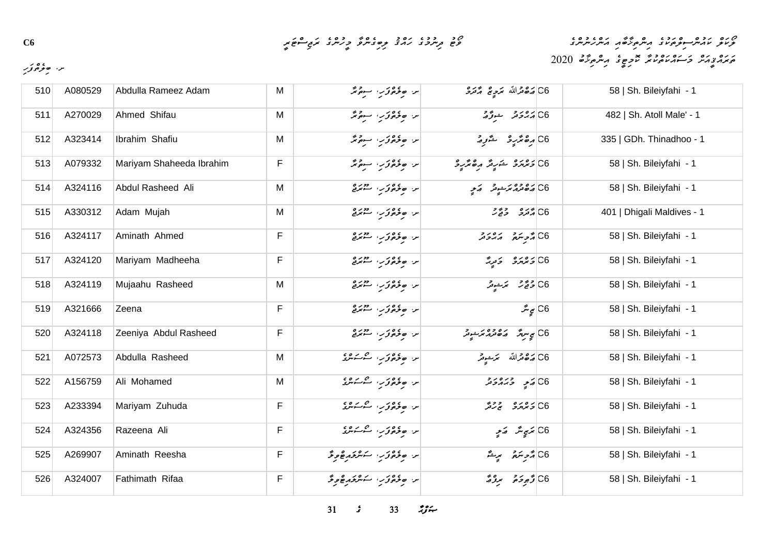*sCw7q7s5w7m< o<n9nOoAw7o< sCq;mAwBoEw7q<m; wBm;vB* م من المرة المرة المرة المرجع المرجع في المركبة 2020<br>مجم*د المريض المربوط المربع المرجع في المراجع المركبة* 

| 510 | A080529 | Abdulla Rameez Adam      | M            | ىن ھۆھۈر، سومۇ       | C6 كَمْ هُمْراللّه مَرَحٍ مُحْ مُرْمَرْدَ                                                                                          | 58   Sh. Bileiyfahi - 1    |
|-----|---------|--------------------------|--------------|----------------------|------------------------------------------------------------------------------------------------------------------------------------|----------------------------|
| 511 | A270029 | Ahmed Shifau             | M            | بن ھۆھۈپ سوچۇ        | $\mathcal{L}$ $\sim$ $\mathcal{L}$ $\approx$ $\mathcal{L}$ $\approx$ $\mathcal{L}$ $\approx$ $\mathcal{L}$ $\approx$ $\mathcal{L}$ | 482   Sh. Atoll Male' - 1  |
| 512 | A323414 | Ibrahim Shafiu           | M            | ىن ھۆھۈك سوچە        | C6 مەھەر بۇ ھەر ئە                                                                                                                 | 335   GDh. Thinadhoo - 1   |
| 513 | A079332 | Mariyam Shaheeda Ibrahim | F            | بر ھۆھۈپ سوچۇ        | C6 كەبرىزى ھەرپىگە م <i>ەھەتگەر</i> ئ                                                                                              | 58   Sh. Bileiyfahi - 1    |
| 514 | A324116 | Abdul Rasheed Ali        | $\mathsf{M}$ | بر ھوھوپ، مسلمان     | C6 مَصْرَمْ مَرْشِيْتَرِ مَنْ مِيْتِ                                                                                               | 58   Sh. Bileiyfahi - 1    |
| 515 | A330312 | Adam Mujah               | M            | ىر. ھۆھۈك سىمدى      | $223 - 222$ C6                                                                                                                     | 401   Dhigali Maldives - 1 |
| 516 | A324117 | Aminath Ahmed            | F            | بن ھۆھۈك سىر         | C6 مُ <i>جِسَعْہ مُ</i> مُحَمَّد                                                                                                   | 58   Sh. Bileiyfahi - 1    |
| 517 | A324120 | Mariyam Madheeha         | F            | س ھۆھۈپ سىرى         | C6 كەنگەنگە كەن <i>بەن</i> گە                                                                                                      | 58   Sh. Bileiyfahi - 1    |
| 518 | A324119 | Mujaahu Rasheed          | $\mathsf{M}$ | بر ھۆھۈپ، مەيرە      | C6 جۇڭ ئىش <sub>ى</sub> قر                                                                                                         | 58   Sh. Bileiyfahi - 1    |
| 519 | A321666 | <b>Zeena</b>             | F            | س ھۆھۈپ، مەيرە       | C6 <sub>مح</sub> مَّد                                                                                                              | 58   Sh. Bileiyfahi - 1    |
| 520 | A324118 | Zeeniya Abdul Rasheed    | F            | بر ھوھوپ، مسلمان     | C6 ىپ سرگە ئەھە <i>ترە م</i> ترىشوتىر                                                                                              | 58   Sh. Bileiyfahi - 1    |
| 521 | A072573 | Abdulla Rasheed          | M            | ىن ھۆھۈر، سىگەندى    | C6 كەھەراللە كە <u>س</u> وتر                                                                                                       | 58   Sh. Bileiyfahi - 1    |
| 522 | A156759 | Ali Mohamed              | $\mathsf{M}$ | بر ھۆھۈپ سىستىرە ،   | C6 <i>مَجِ حَمَدُوَنَّدُ</i>                                                                                                       | 58   Sh. Bileiyfahi - 1    |
| 523 | A233394 | Mariyam Zuhuda           | F            | ىن ھۆھۈر، شەھىرە ،   | C6 كەممەر ئەسىمى ئىقر                                                                                                              | 58   Sh. Bileiyfahi - 1    |
| 524 | A324356 | Razeena Ali              | F            | بر ھۆھۈپ شوشىدە ،    | C6 بَرَ <sub>مٍ</sub> بَرَّ کَرَمٍ ِ                                                                                               | 58   Sh. Bileiyfahi - 1    |
| 525 | A269907 | Aminath Reesha           | F            | ىن ھۆھۈر، سەھرىر ھوڭ | C6 مُرْسِعَةٍ مَرِيْتُهُ                                                                                                           | 58   Sh. Bileiyfahi - 1    |
| 526 | A324007 | Fathimath Rifaa          | F            | ىر ھۆھۈك سەھرىمھوڭ   | C6 تُ <sub>ج</sub> وحَمَّ برِرْمَّ                                                                                                 | 58   Sh. Bileiyfahi - 1    |

**31** *s* **33** *n***<sub>y</sub> <b>***n*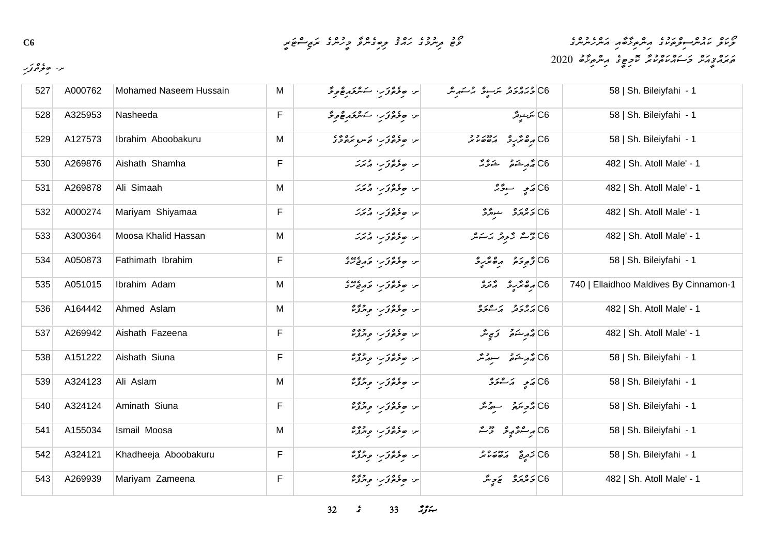*sCw7q7s5w7m< o<n9nOoAw7o< sCq;mAwBoEw7q<m; wBm;vB* م من المرة المرة المرة المرجع المراجع المراجع المراجع المراجع المراجع المراجع المراجع المراجع المراجع المراجع<br>مرين المراجع المراجع المرجع المراجع المراجع المراجع المراجع المراجع المراجع المراجع المراجع المراجع المراجع ال

| 527 | A000762 | <b>Mohamed Naseem Hussain</b> | M           | مر ھۆكۈكى، سەئىر كەھ ھۇ            | C6   <i>وبروونز مرسوف برسكومتر</i>                                                                                                | 58   Sh. Bileiyfahi - 1                |
|-----|---------|-------------------------------|-------------|------------------------------------|-----------------------------------------------------------------------------------------------------------------------------------|----------------------------------------|
| 528 | A325953 | Nasheeda                      | F           | ىر ھۆھۈپ سەشرىرھ ھوڭ               | C6 سَرَسْدِمَّر                                                                                                                   | 58   Sh. Bileiyfahi - 1                |
| 529 | A127573 | Ibrahim Aboobakuru            | M           | المن المحوفي وأكبر المحمد المحروري | $52222$ $1000$ $1000$                                                                                                             | 58   Sh. Bileiyfahi - 1                |
| 530 | A269876 | Aishath Shamha                | F           | أيرا جذهوى الممركز                 | C6 مُصِيَّمَة شَوْيَّ                                                                                                             | 482   Sh. Atoll Male' - 1              |
| 531 | A269878 | Ali Simaah                    | M           | ىر. ھۆھۈك مەترىر                   | C6 كەبىر س <i>ىۋ</i> ر                                                                                                            | 482   Sh. Atoll Male' - 1              |
| 532 | A000274 | Mariyam Shiyamaa              | F           | أيرا جذهوى الممركز                 | $5\overset{\circ}{\sim}$ $\frac{\circ}{\sim}$ $\frac{\circ}{\sim}$ $\frac{\circ}{\sim}$ $\frac{\circ}{\sim}$ $\frac{\circ}{\sim}$ | 482   Sh. Atoll Male' - 1              |
| 533 | A300364 | Moosa Khalid Hassan           | M           | أيرا للمحوفوك المرتزئه             | 06] جيءَ ڏويڙ برسکر                                                                                                               | 482   Sh. Atoll Male' - 1              |
| 534 | A050873 | Fathimath Ibrahim             | $\mathsf F$ | ر ەيمۇرى قەمەر                     | C6 <i>ڈوِحَمْ م</i> ِھْتَر <i>بِ</i> وْ                                                                                           | 58   Sh. Bileiyfahi - 1                |
| 535 | A051015 | Ibrahim Adam                  | M           | من صورة وير عدد عدد عدد ا          | C6 مەھەمگەيى ھەممىھ                                                                                                               | 740   Ellaidhoo Maldives By Cinnamon-1 |
| 536 | A164442 | Ahmed Aslam                   | M           | بر ھۆھۈپ ھەدى                      | C6 كەبروتر كەسىر <i>ە</i> رە                                                                                                      | 482   Sh. Atoll Male' - 1              |
| 537 | A269942 | Aishath Fazeena               | F           | ر ھۆھۈپ ھەدى                       | C6 <i>مۇم ھۇمۇسىتى</i> گە                                                                                                         | 482   Sh. Atoll Male' - 1              |
| 538 | A151222 | Aishath Siuna                 | F           | ىر ھۆھۈپ ھەدى                      | C6 م <i>ەمبەشقى سىن</i> مەتتىر                                                                                                    | 58   Sh. Bileiyfahi - 1                |
| 539 | A324123 | Ali Aslam                     | M           | ىن ھۆھۈپ، ھەدۋى                    | C6 كەبر كەش <b>ى</b> رى                                                                                                           | 58   Sh. Bileiyfahi - 1                |
| 540 | A324124 | Aminath Siuna                 | F           | ىن ھۆھۈپ ھەدۋى                     | C6 مُرْحِبَتَهُ مِسْتَمَسَّرَ                                                                                                     | 58   Sh. Bileiyfahi - 1                |
| 541 | A155034 | Ismail Moosa                  | M           | ىر ھۆھۈپ ھەدى                      | C6 م سۇم ئۇ ق <sup>ىم</sup> ئ                                                                                                     | 58   Sh. Bileiyfahi - 1                |
| 542 | A324121 | Khadheeja Aboobakuru          | F           | ر ھۆھۈپ ھەدۋە                      | C6 دَمِيعٌ مُقْصَمَّعٌ                                                                                                            | 58   Sh. Bileiyfahi - 1                |
| 543 | A269939 | Mariyam Zameena               | F           | ين ھۆھۈك ھەدۋى                     | C6 <i>خ</i> ېر <i>مرد تم</i> ويگر                                                                                                 | 482   Sh. Atoll Male' - 1              |

**32** *s* **33** *n***<sub>y</sub> <b>***n* 

**س ھۆھ<sub>ۇر</sub>**